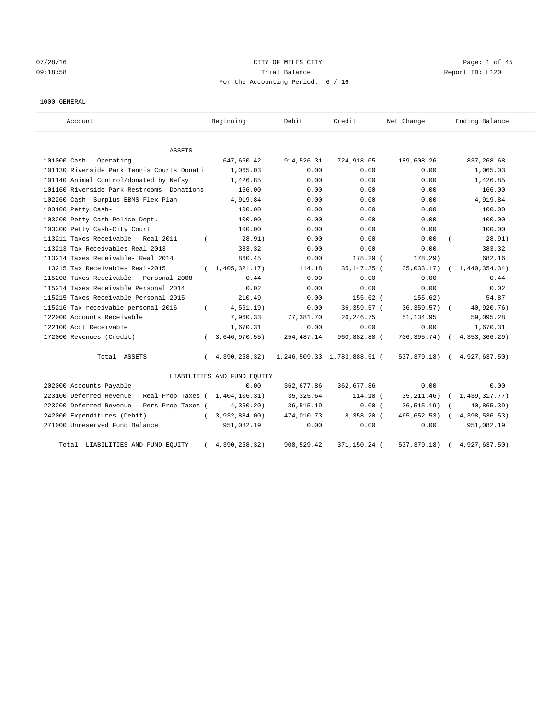# $07/28/16$  Page: 1 of 45 09:18:58 Trial Balance Report ID: L120 For the Accounting Period: 6 / 16

#### 1000 GENERAL

| Account                                     | Beginning                   | Debit       | Credit                      | Net Change       | Ending Balance  |
|---------------------------------------------|-----------------------------|-------------|-----------------------------|------------------|-----------------|
| ASSETS                                      |                             |             |                             |                  |                 |
| 101000 Cash - Operating                     | 647,660.42                  | 914,526.31  | 724,918.05                  | 189,608.26       | 837,268.68      |
| 101130 Riverside Park Tennis Courts Donati  | 1,065.03                    | 0.00        | 0.00                        | 0.00             | 1,065.03        |
| 101140 Animal Control/donated by Nefsy      | 1,426.85                    | 0.00        | 0.00                        | 0.00             | 1,426.85        |
| 101160 Riverside Park Restrooms -Donations  | 166.00                      | 0.00        | 0.00                        | 0.00             | 166.00          |
| 102260 Cash- Surplus EBMS Flex Plan         | 4,919.84                    | 0.00        | 0.00                        | 0.00             | 4,919.84        |
| 103100 Petty Cash-                          | 100.00                      | 0.00        | 0.00                        | 0.00             | 100.00          |
| 103200 Petty Cash-Police Dept.              | 100.00                      | 0.00        | 0.00                        | 0.00             | 100.00          |
| 103300 Petty Cash-City Court                | 100.00                      | 0.00        | 0.00                        | 0.00             | 100.00          |
| 113211 Taxes Receivable - Real 2011         | 28.91)<br>$\left($          | 0.00        | 0.00                        | 0.00             | 28.91)          |
| 113213 Tax Receivables Real-2013            | 383.32                      | 0.00        | 0.00                        | 0.00             | 383.32          |
| 113214 Taxes Receivable- Real 2014          | 860.45                      | 0.00        | 178.29 (                    | 178.29           | 682.16          |
| 113215 Tax Receivables Real-2015            | (1, 405, 321, 17)           | 114.18      | 35, 147. 35 (               | 35,033.17)       | 1,440,354.34)   |
| 115208 Taxes Receivable - Personal 2008     | 0.44                        | 0.00        | 0.00                        | 0.00             | 0.44            |
| 115214 Taxes Receivable Personal 2014       | 0.02                        | 0.00        | 0.00                        | 0.00             | 0.02            |
| 115215 Taxes Receivable Personal-2015       | 210.49                      | 0.00        | 155.62 (                    | 155.62)          | 54.87           |
| 115216 Tax receivable personal-2016         | 4,561.19)<br>$\left($       | 0.00        | 36,359.57 (                 | $36, 359.57$ ) ( | 40,920.76)      |
| 122000 Accounts Receivable                  | 7,960.33                    | 77,381.70   | 26, 246.75                  | 51, 134.95       | 59,095.28       |
| 122100 Acct Receivable                      | 1,670.31                    | 0.00        | 0.00                        | 0.00             | 1,670.31        |
| 172000 Revenues (Credit)                    | 3,646,970.55)<br>$\left($   | 254, 487.14 | 960,882.88 (                | 706,395.74) (    | 4, 353, 366.29) |
| Total ASSETS                                | 4,390,258.32)<br>$\left($   |             | 1,246,509.33 1,783,888.51 ( | 537,379.18)      | 4,927,637.50)   |
|                                             | LIABILITIES AND FUND EQUITY |             |                             |                  |                 |
| 202000 Accounts Payable                     | 0.00                        | 362,677.86  | 362,677.86                  | 0.00             | 0.00            |
| 223100 Deferred Revenue - Real Prop Taxes ( | 1,404,106.31)               | 35, 325.64  | 114.18 (                    | 35, 211.46)      | 1,439,317.77)   |
| 223200 Deferred Revenue - Pers Prop Taxes ( | 4,350.20                    | 36, 515.19  | 0.00(                       | 36, 515.19)      | 40,865.39)      |
| 242000 Expenditures (Debit)                 | 3,932,884.00)<br>$\left($   | 474,010.73  | 8,358.20 (                  | 465, 652.53)     | 4,398,536.53)   |
| 271000 Unreserved Fund Balance              | 951,082.19                  | 0.00        | 0.00                        | 0.00             | 951,082.19      |
| Total LIABILITIES AND FUND EQUITY           | 4,390,258.32)               | 908,529.42  | 371,150.24 (                | 537, 379. 18)    | 4,927,637.50)   |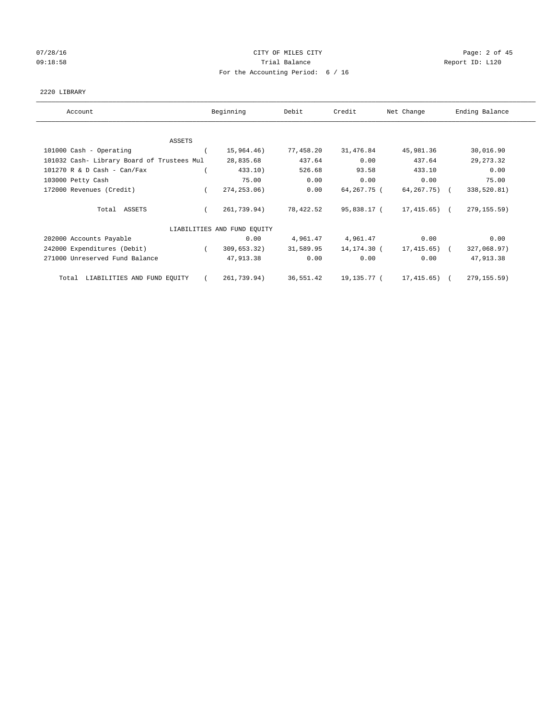# 07/28/16 Page: 2 of 45 09:18:58 Report ID: L120 For the Accounting Period: 6 / 16

## 2220 LIBRARY

| Account                                    | Beginning                   | Debit     | Credit      | Net Change        | Ending Balance |
|--------------------------------------------|-----------------------------|-----------|-------------|-------------------|----------------|
|                                            |                             |           |             |                   |                |
| ASSETS                                     |                             |           |             |                   |                |
| 101000 Cash - Operating                    | 15,964.46)                  | 77,458.20 | 31,476.84   | 45,981.36         | 30,016.90      |
| 101032 Cash- Library Board of Trustees Mul | 28,835.68                   | 437.64    | 0.00        | 437.64            | 29, 273.32     |
| $101270$ R & D Cash - Can/Fax              | 433.10)                     | 526.68    | 93.58       | 433.10            | 0.00           |
| 103000 Petty Cash                          | 75.00                       | 0.00      | 0.00        | 0.00              | 75.00          |
| 172000 Revenues (Credit)                   | 274, 253.06)                | 0.00      | 64,267.75 ( | $64, 267, 75$ ) ( | 338,520.81)    |
| Total ASSETS                               | 261,739.94)                 | 78,422.52 | 95,838.17 ( | $17,415.65$ ) (   | 279, 155.59)   |
|                                            | LIABILITIES AND FUND EQUITY |           |             |                   |                |
| 202000 Accounts Payable                    | 0.00                        | 4,961.47  | 4,961.47    | 0.00              | 0.00           |
| 242000 Expenditures (Debit)                | 309,653.32)                 | 31,589.95 | 14,174.30 ( | 17,415.65)        | 327,068.97)    |
| 271000 Unreserved Fund Balance             | 47,913.38                   | 0.00      | 0.00        | 0.00              | 47,913.38      |
| LIABILITIES AND FUND EQUITY<br>Total       | 261,739.94)                 | 36,551.42 | 19,135.77 ( | 17,415.65)        | 279, 155.59)   |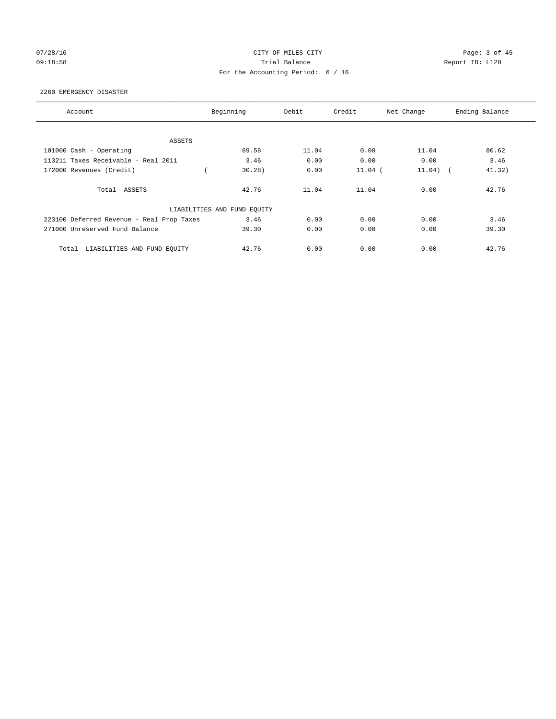# 07/28/16 Page: 3 of 45 09:18:58 Report ID: L120 For the Accounting Period: 6 / 16

#### 2260 EMERGENCY DISASTER

| Account                                   | Beginning                   | Debit | Credit    | Net Change           | Ending Balance |
|-------------------------------------------|-----------------------------|-------|-----------|----------------------|----------------|
|                                           |                             |       |           |                      |                |
| ASSETS                                    |                             |       |           |                      |                |
| 101000 Cash - Operating                   | 69.58                       | 11.04 | 0.00      | 11.04                | 80.62          |
| 113211 Taxes Receivable - Real 2011       | 3.46                        | 0.00  | 0.00      | 0.00                 | 3.46           |
| 172000 Revenues (Credit)                  | 30.28)                      | 0.00  | $11.04$ ( | 11.04)<br>$\sqrt{2}$ | 41.32)         |
| Total ASSETS                              | 42.76                       | 11.04 | 11.04     | 0.00                 | 42.76          |
|                                           | LIABILITIES AND FUND EQUITY |       |           |                      |                |
| 223100 Deferred Revenue - Real Prop Taxes | 3.46                        | 0.00  | 0.00      | 0.00                 | 3.46           |
| 271000 Unreserved Fund Balance            | 39.30                       | 0.00  | 0.00      | 0.00                 | 39.30          |
| LIABILITIES AND FUND EQUITY<br>Total      | 42.76                       | 0.00  | 0.00      | 0.00                 | 42.76          |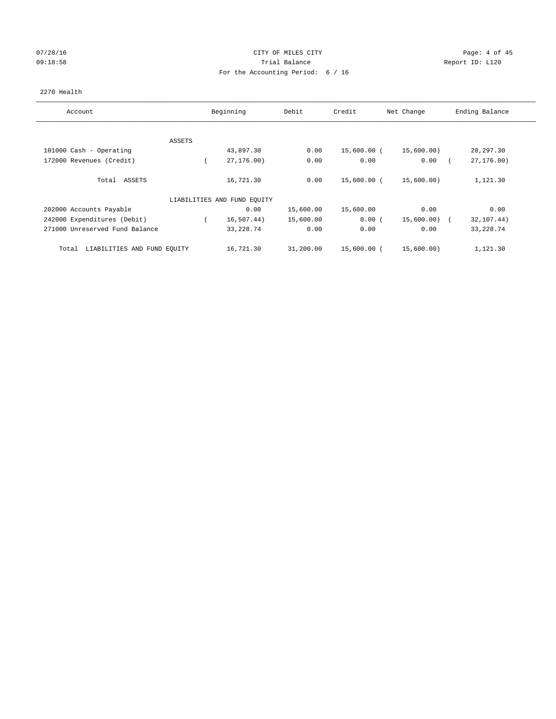# 07/28/16 Page: 4 of 45 09:18:58 Report ID: L120 For the Accounting Period: 6 / 16

## 2270 Health

| Account                              |        | Beginning                   | Debit     | Credit      | Net Change | Ending Balance |
|--------------------------------------|--------|-----------------------------|-----------|-------------|------------|----------------|
|                                      |        |                             |           |             |            |                |
|                                      | ASSETS |                             |           |             |            |                |
| 101000 Cash - Operating              |        | 43,897.30                   | 0.00      | 15,600.00 ( | 15,600.00) | 28, 297.30     |
| 172000 Revenues (Credit)             |        | 27, 176, 00)                | 0.00      | 0.00        | 0.00       | 27, 176.00     |
| Total ASSETS                         |        | 16,721.30                   | 0.00      | 15,600.00 ( | 15,600.00) | 1,121.30       |
|                                      |        | LIABILITIES AND FUND EQUITY |           |             |            |                |
| 202000 Accounts Payable              |        | 0.00                        | 15,600.00 | 15,600.00   | 0.00       | 0.00           |
| 242000 Expenditures (Debit)          |        | 16,507.44)                  | 15,600.00 | 0.00(       | 15,600.00) | 32,107.44)     |
| 271000 Unreserved Fund Balance       |        | 33, 228.74                  | 0.00      | 0.00        | 0.00       | 33, 228.74     |
| LIABILITIES AND FUND EQUITY<br>Total |        | 16,721.30                   | 31,200.00 | 15,600.00 ( | 15,600.00) | 1,121.30       |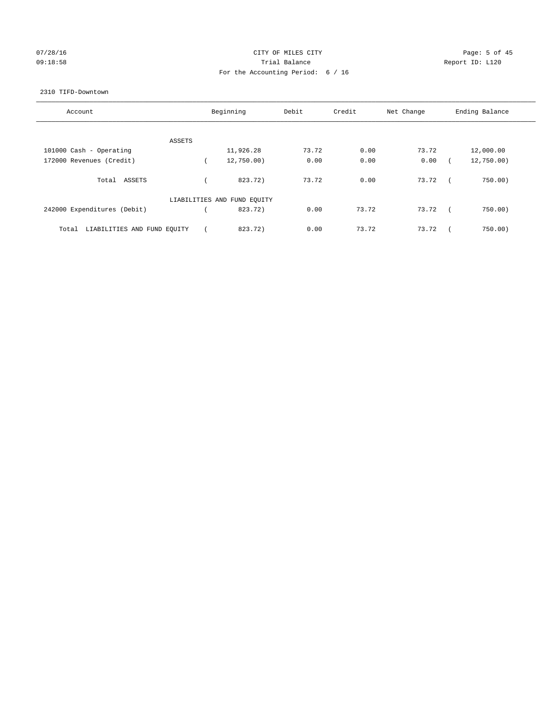# 07/28/16 Page: 5 of 45 09:18:58 Report ID: L120 For the Accounting Period: 6 / 16

#### 2310 TIFD-Downtown

| Account                              | Beginning                   | Debit | Credit | Net Change |            | Ending Balance |
|--------------------------------------|-----------------------------|-------|--------|------------|------------|----------------|
|                                      |                             |       |        |            |            |                |
| ASSETS                               |                             |       |        |            |            |                |
| 101000 Cash - Operating              | 11,926.28                   | 73.72 | 0.00   | 73.72      |            | 12,000.00      |
| 172000 Revenues (Credit)             | 12,750.00)                  | 0.00  | 0.00   | 0.00       |            | 12,750.00)     |
| Total ASSETS                         | 823.72)                     | 73.72 | 0.00   | 73.72      |            | 750.00)        |
|                                      | LIABILITIES AND FUND EQUITY |       |        |            |            |                |
| 242000 Expenditures (Debit)          | 823.72)                     | 0.00  | 73.72  | 73.72      | $\sqrt{2}$ | 750.00         |
| LIABILITIES AND FUND EQUITY<br>Total | 823.72)                     | 0.00  | 73.72  | 73.72      |            | 750.00         |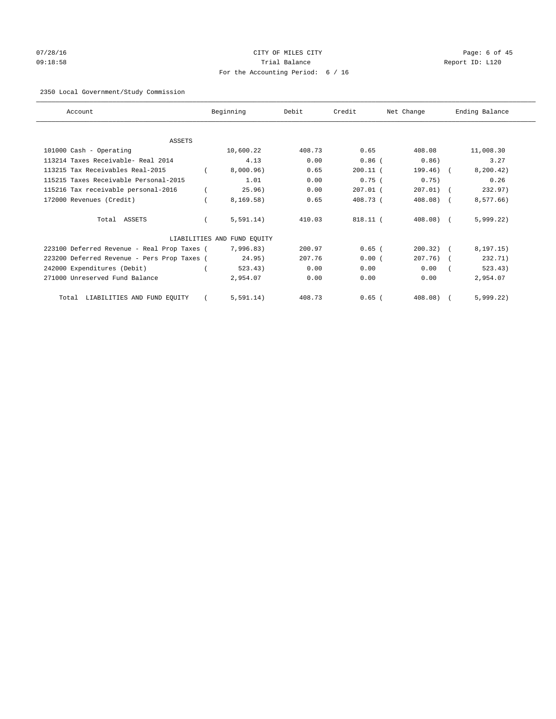# 07/28/16 Page: 6 of 45 09:18:58 Trial Balance Report ID: L120 For the Accounting Period: 6 / 16

# 2350 Local Government/Study Commission

| Account                                     | Beginning                   | Debit  | Credit     | Net Change     | Ending Balance |
|---------------------------------------------|-----------------------------|--------|------------|----------------|----------------|
|                                             |                             |        |            |                |                |
| <b>ASSETS</b>                               |                             |        |            |                |                |
| 101000 Cash - Operating                     | 10,600.22                   | 408.73 | 0.65       | 408.08         | 11,008.30      |
| 113214 Taxes Receivable- Real 2014          | 4.13                        | 0.00   | $0.86$ (   | 0.86)          | 3.27           |
| 113215 Tax Receivables Real-2015            | 8,000.96)                   | 0.65   | $200.11$ ( | 199.46)        | 8, 200.42)     |
| 115215 Taxes Receivable Personal-2015       | 1.01                        | 0.00   | 0.75(      | 0.75)          | 0.26           |
| 115216 Tax receivable personal-2016         | 25.96)                      | 0.00   | $207.01$ ( | $207.01)$ (    | 232.97)        |
| 172000 Revenues (Credit)                    | 8.169.58                    | 0.65   | 408.73 (   | 408.08)        | 8,577.66)      |
| Total ASSETS                                | 5,591.14)                   | 410.03 | $818.11$ ( | $408.08$ ) $($ | 5,999.22)      |
|                                             | LIABILITIES AND FUND EQUITY |        |            |                |                |
| 223100 Deferred Revenue - Real Prop Taxes ( | 7,996.83)                   | 200.97 | $0.65$ (   | $200.32)$ (    | 8, 197.15)     |
| 223200 Deferred Revenue - Pers Prop Taxes ( | 24.95)                      | 207.76 | 0.00(      | 207.76)        | 232.71)        |
| 242000 Expenditures (Debit)                 | 523.43)                     | 0.00   | 0.00       | 0.00           | 523.43)        |
| 271000 Unreserved Fund Balance              | 2,954.07                    | 0.00   | 0.00       | 0.00           | 2,954.07       |
| LIABILITIES AND FUND EQUITY<br>Total        | 5, 591.14)                  | 408.73 | $0.65$ (   | 408.08)        | 5,999.22)      |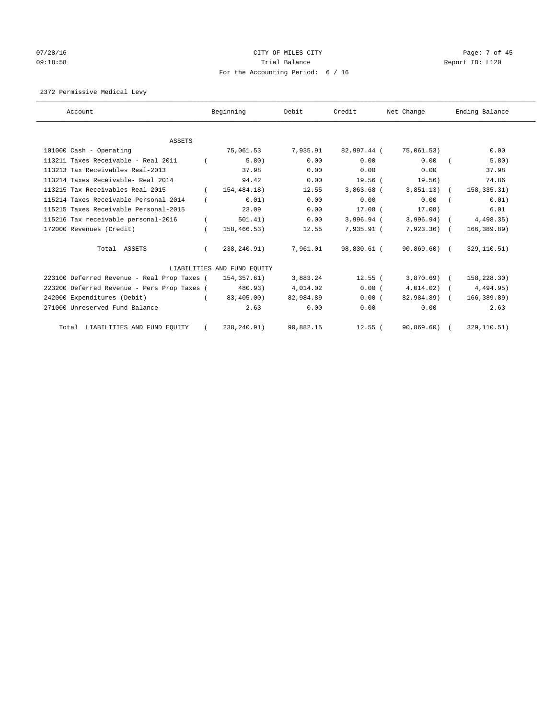# 07/28/16 Page: 7 of 45 09:18:58 Report ID: L120 For the Accounting Period: 6 / 16

# 2372 Permissive Medical Levy

| Account                                     |          | Beginning                   | Debit     | Credit       | Net Change    | Ending Balance |
|---------------------------------------------|----------|-----------------------------|-----------|--------------|---------------|----------------|
|                                             |          |                             |           |              |               |                |
| <b>ASSETS</b><br>101000 Cash - Operating    |          | 75,061.53                   | 7,935.91  | 82,997.44 (  | 75,061.53)    | 0.00           |
|                                             |          |                             |           |              |               |                |
| 113211 Taxes Receivable - Real 2011         |          | 5.80)                       | 0.00      | 0.00         | 0.00          | 5.80)          |
| 113213 Tax Receivables Real-2013            |          | 37.98                       | 0.00      | 0.00         | 0.00          | 37.98          |
| 113214 Taxes Receivable- Real 2014          |          | 94.42                       | 0.00      | $19.56$ (    | 19.56)        | 74.86          |
| 113215 Tax Receivables Real-2015            |          | 154,484.18)                 | 12.55     | 3,863.68 (   | $3,851.13)$ ( | 158,335.31)    |
| 115214 Taxes Receivable Personal 2014       |          | 0.01)                       | 0.00      | 0.00         | 0.00          | 0.01)          |
| 115215 Taxes Receivable Personal-2015       |          | 23.09                       | 0.00      | $17.08$ (    | 17.08)        | 6.01           |
| 115216 Tax receivable personal-2016         |          | 501.41)                     | 0.00      | $3,996.94$ ( | $3,996.94$ (  | 4,498.35)      |
| 172000 Revenues (Credit)                    |          | 158,466.53)                 | 12.55     | 7,935.91 (   | $7,923.36$ (  | 166, 389.89)   |
| Total ASSETS                                | $\left($ | 238,240.91)                 | 7,961.01  | 98,830.61 (  | $90,869.60$ ( | 329,110.51)    |
|                                             |          | LIABILITIES AND FUND EQUITY |           |              |               |                |
| 223100 Deferred Revenue - Real Prop Taxes ( |          | 154,357.61)                 | 3,883.24  | $12.55$ (    | $3,870.69$ (  | 158,228.30)    |
| 223200 Deferred Revenue - Pers Prop Taxes ( |          | 480.93)                     | 4,014.02  | 0.00(        | $4,014.02$ (  | 4,494.95)      |
| 242000 Expenditures (Debit)                 |          | 83,405.00)                  | 82,984.89 | 0.00(        | 82,984.89) (  | 166,389.89)    |
| 271000 Unreserved Fund Balance              |          | 2.63                        | 0.00      | 0.00         | 0.00          | 2.63           |
| Total LIABILITIES AND FUND EQUITY           |          | 238,240.91)                 | 90,882.15 | $12.55$ (    | 90,869.60)    | 329, 110.51)   |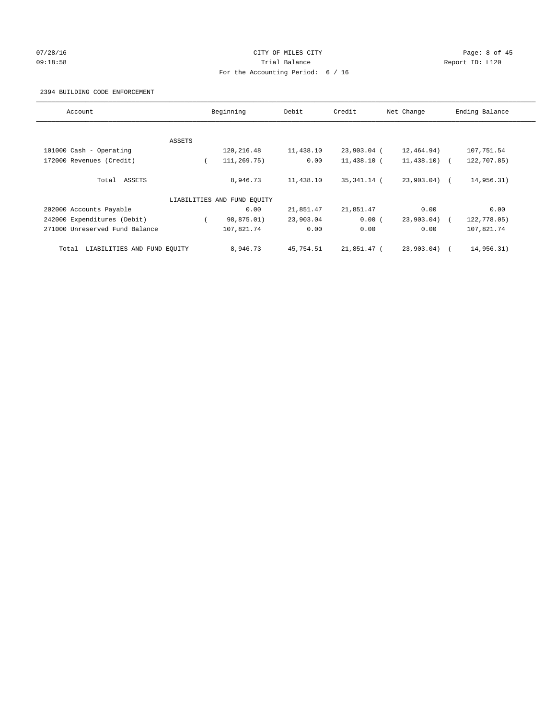# 07/28/16 Page: 8 of 45 09:18:58 Report ID: L120 For the Accounting Period: 6 / 16

#### 2394 BUILDING CODE ENFORCEMENT

| Account                              |        | Beginning                   | Debit     | Credit      | Net Change    | Ending Balance |
|--------------------------------------|--------|-----------------------------|-----------|-------------|---------------|----------------|
|                                      |        |                             |           |             |               |                |
|                                      | ASSETS |                             |           |             |               |                |
| 101000 Cash - Operating              |        | 120,216.48                  | 11,438.10 | 23,903.04 ( | 12,464.94)    | 107,751.54     |
| 172000 Revenues (Credit)             |        | 111,269.75)                 | 0.00      | 11,438.10 ( | $11,438.10$ ( | 122,707.85)    |
| Total ASSETS                         |        | 8,946.73                    | 11,438.10 | 35,341.14 ( | 23,903.04) (  | 14,956.31)     |
|                                      |        | LIABILITIES AND FUND EQUITY |           |             |               |                |
| 202000 Accounts Payable              |        | 0.00                        | 21,851.47 | 21,851.47   | 0.00          | 0.00           |
| 242000 Expenditures (Debit)          |        | 98,875.01)                  | 23,903.04 | 0.00(       | 23,903.04)    | 122,778.05)    |
| 271000 Unreserved Fund Balance       |        | 107,821.74                  | 0.00      | 0.00        | 0.00          | 107,821.74     |
| LIABILITIES AND FUND EQUITY<br>Total |        | 8,946.73                    | 45,754.51 | 21,851.47 ( | 23,903.04)    | 14,956.31)     |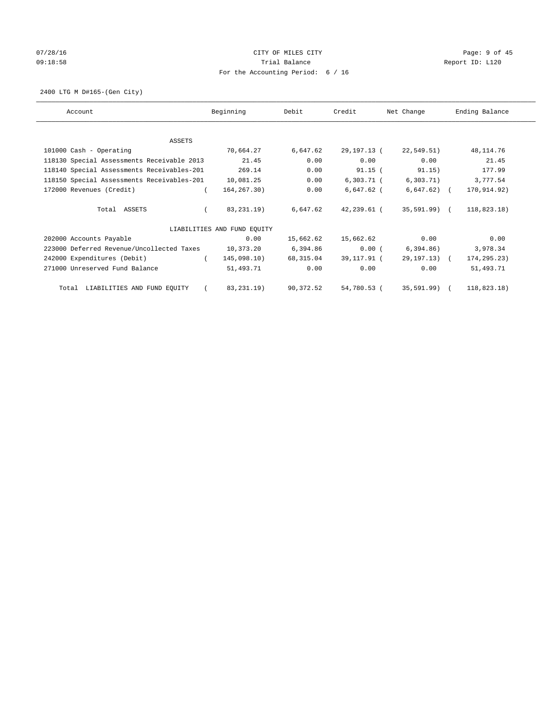# 07/28/16 Page: 9 of 45 09:18:58 Report ID: L120 For the Accounting Period: 6 / 16

2400 LTG M D#165-(Gen City)

| Account                                    | Beginning                   | Debit     | Credit       | Net Change   | Ending Balance |
|--------------------------------------------|-----------------------------|-----------|--------------|--------------|----------------|
| ASSETS                                     |                             |           |              |              |                |
| 101000 Cash - Operating                    | 70,664.27                   | 6,647.62  | 29,197.13 (  | 22,549.51)   | 48, 114.76     |
| 118130 Special Assessments Receivable 2013 | 21.45                       | 0.00      | 0.00         | 0.00         | 21.45          |
| 118140 Special Assessments Receivables-201 | 269.14                      | 0.00      | $91.15$ (    | 91.15)       | 177.99         |
| 118150 Special Assessments Receivables-201 | 10,081.25                   | 0.00      | $6,303.71$ ( | 6,303.71)    | 3,777.54       |
| 172000 Revenues (Credit)                   | 164,267.30)                 | 0.00      | $6,647.62$ ( | $6,647.62$ ( | 170,914.92)    |
| Total ASSETS                               | 83, 231. 19)                | 6,647.62  | 42,239.61 (  | 35,591.99) ( | 118,823.18)    |
|                                            | LIABILITIES AND FUND EQUITY |           |              |              |                |
| 202000 Accounts Payable                    | 0.00                        | 15,662.62 | 15,662.62    | 0.00         | 0.00           |
| 223000 Deferred Revenue/Uncollected Taxes  | 10,373.20                   | 6,394.86  | 0.00(        | 6,394.86)    | 3,978.34       |
| 242000 Expenditures (Debit)                | 145,098.10)<br>$\sqrt{2}$   | 68,315.04 | 39,117.91 (  | 29,197.13) ( | 174,295.23)    |
| 271000 Unreserved Fund Balance             | 51,493.71                   | 0.00      | 0.00         | 0.00         | 51,493.71      |
| Total LIABILITIES AND FUND EQUITY          | 83,231.19)                  | 90,372.52 | 54,780.53 (  | 35,591.99) ( | 118,823.18)    |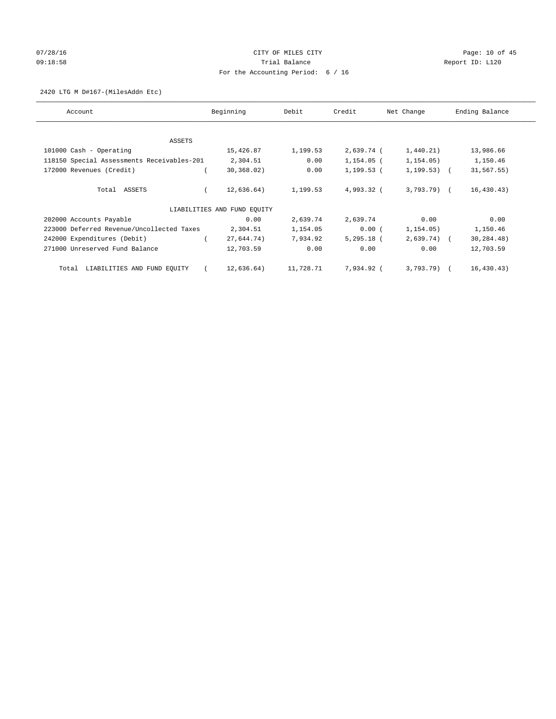# 07/28/16 Page: 10 of 45 09:18:58 Report ID: L120 For the Accounting Period: 6 / 16

#### 2420 LTG M D#167-(MilesAddn Etc)

| Account                                    | Beginning                   | Debit     | Credit       | Net Change     | Ending Balance |
|--------------------------------------------|-----------------------------|-----------|--------------|----------------|----------------|
| ASSETS                                     |                             |           |              |                |                |
| 101000 Cash - Operating                    | 15,426.87                   | 1,199.53  | 2,639.74 (   | 1,440.21)      | 13,986.66      |
| 118150 Special Assessments Receivables-201 | 2,304.51                    | 0.00      | 1,154.05 (   | 1,154.05)      | 1,150.46       |
| 172000 Revenues (Credit)                   | 30, 368, 02)                | 0.00      | 1,199.53 (   | $1,199.53$ ) ( | 31,567.55)     |
| Total ASSETS                               | 12,636.64)                  | 1,199.53  | 4,993.32 (   | $3,793.79$ ) ( | 16, 430.43)    |
|                                            | LIABILITIES AND FUND EQUITY |           |              |                |                |
| 202000 Accounts Payable                    | 0.00                        | 2,639.74  | 2,639.74     | 0.00           | 0.00           |
| 223000 Deferred Revenue/Uncollected Taxes  | 2,304.51                    | 1,154.05  | 0.00(        | 1,154.05)      | 1,150.46       |
| 242000 Expenditures (Debit)                | 27,644.74)                  | 7,934.92  | $5,295.18$ ( | $2,639.74$ (   | 30,284.48)     |
| 271000 Unreserved Fund Balance             | 12,703.59                   | 0.00      | 0.00         | 0.00           | 12,703.59      |
| LIABILITIES AND FUND EQUITY<br>Total       | 12,636.64)                  | 11,728.71 | 7,934.92 (   | $3,793.79$ ) ( | 16, 430.43)    |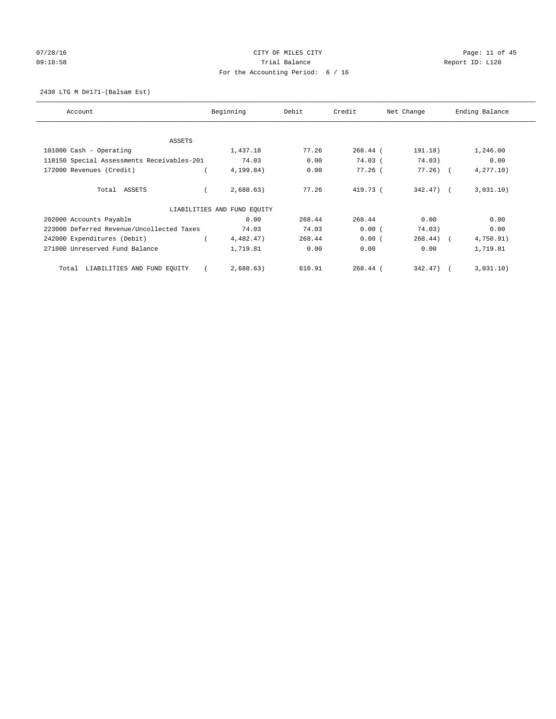# 07/28/16 Page: 11 of 45 09:18:58 Report ID: L120 For the Accounting Period: 6 / 16

2430 LTG M D#171-(Balsam Est)

| Account                                    | Beginning                   | Debit  | Credit     | Net Change   | Ending Balance |
|--------------------------------------------|-----------------------------|--------|------------|--------------|----------------|
| <b>ASSETS</b>                              |                             |        |            |              |                |
| 101000 Cash - Operating                    | 1,437.18                    | 77.26  | $268.44$ ( | 191.18)      | 1,246.00       |
| 118150 Special Assessments Receivables-201 | 74.03                       | 0.00   | $74.03$ (  | 74.03)       | 0.00           |
| 172000 Revenues (Credit)                   | 4,199.84)                   | 0.00   | $77.26$ (  | $77.26$ ) (  | 4, 277.10      |
| Total ASSETS                               | 2,688.63)                   | 77.26  | 419.73 (   | $342.47$ ) ( | 3,031,10)      |
|                                            | LIABILITIES AND FUND EQUITY |        |            |              |                |
| 202000 Accounts Payable                    | 0.00                        | 268.44 | 268.44     | 0.00         | 0.00           |
| 223000 Deferred Revenue/Uncollected Taxes  | 74.03                       | 74.03  | 0.00(      | 74.03)       | 0.00           |
| 242000 Expenditures (Debit)                | 4,482.47)                   | 268.44 | 0.00(      | $268.44$ ) ( | 4,750.91)      |
| 271000 Unreserved Fund Balance             | 1,719.81                    | 0.00   | 0.00       | 0.00         | 1,719.81       |
| LIABILITIES AND FUND EQUITY<br>Total       | 2,688.63)                   | 610.91 | $268.44$ ( | 342.47)      | 3,031,10)      |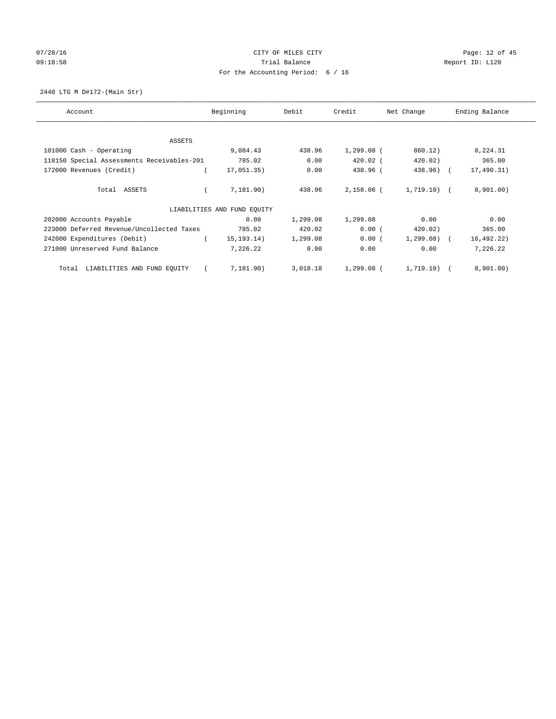# 07/28/16 Page: 12 of 45 09:18:58 Report ID: L120 For the Accounting Period: 6 / 16

2440 LTG M D#172-(Main Str)

| Account                                    | Beginning                   | Debit    | Credit       | Net Change   | Ending Balance |
|--------------------------------------------|-----------------------------|----------|--------------|--------------|----------------|
| ASSETS                                     |                             |          |              |              |                |
| 101000 Cash - Operating                    | 9,084.43                    | 438.96   | $1,299.08$ ( | 860.12)      | 8,224.31       |
| 118150 Special Assessments Receivables-201 | 785.02                      | 0.00     | $420.02$ (   | 420.02)      | 365.00         |
| 172000 Revenues (Credit)                   | 17,051.35)                  | 0.00     | 438.96 (     | 438.96) (    | 17,490.31)     |
| Total ASSETS                               | 7,181.90)                   | 438.96   | 2,158.06 (   | 1,719.10) (  | 8,901.00)      |
|                                            | LIABILITIES AND FUND EQUITY |          |              |              |                |
| 202000 Accounts Payable                    | 0.00                        | 1,299.08 | 1,299.08     | 0.00         | 0.00           |
| 223000 Deferred Revenue/Uncollected Taxes  | 785.02                      | 420.02   | 0.00(        | 420.02)      | 365.00         |
| 242000 Expenditures (Debit)                | 15, 193.14)                 | 1,299.08 | 0.00(        | $1,299.08$ ( | 16, 492.22)    |
| 271000 Unreserved Fund Balance             | 7,226.22                    | 0.00     | 0.00         | 0.00         | 7,226.22       |
| LIABILITIES AND FUND EQUITY<br>Total       | 7,181.90)                   | 3,018.18 | 1,299.08 (   | 1,719.10)    | 8,901.00)      |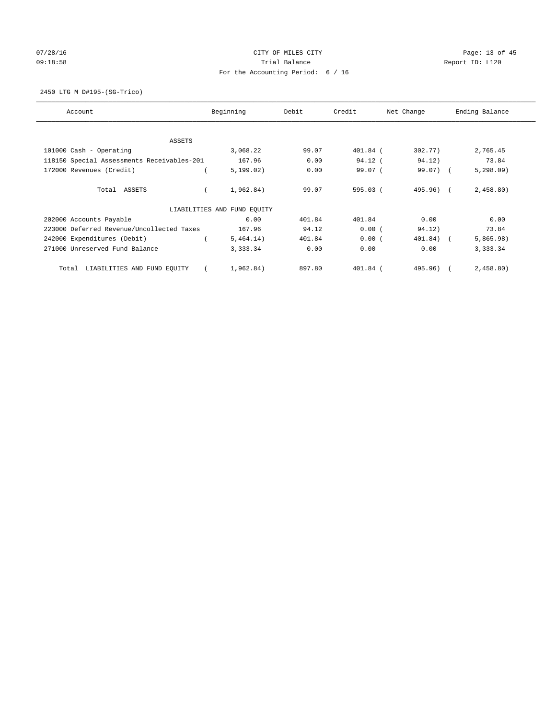# 07/28/16 Page: 13 of 45 09:18:58 Report ID: L120 For the Accounting Period: 6 / 16

2450 LTG M D#195-(SG-Trico)

| Account                                    | Beginning<br>Debit<br>Credit |                     |          | Net Change | Ending Balance |
|--------------------------------------------|------------------------------|---------------------|----------|------------|----------------|
| <b>ASSETS</b>                              |                              |                     |          |            |                |
| 101000 Cash - Operating                    | 3,068.22                     | 99.07               | 401.84 ( | 302.77)    | 2,765.45       |
| 118150 Special Assessments Receivables-201 |                              | 167.96<br>0.00      | 94.12 (  | 94.12)     | 73.84          |
| 172000 Revenues (Credit)                   |                              | 0.00<br>5, 199.02)  | 99.07 (  | 99.07) (   | 5,298.09       |
| Total ASSETS                               |                              | 1,962.84)<br>99.07  | 595.03(  | 495.96) (  | 2,458.80)      |
|                                            | LIABILITIES AND FUND EQUITY  |                     |          |            |                |
| 202000 Accounts Payable                    |                              | 0.00<br>401.84      | 401.84   | 0.00       | 0.00           |
| 223000 Deferred Revenue/Uncollected Taxes  |                              | 94.12<br>167.96     | 0.00(    | 94.12)     | 73.84          |
| 242000 Expenditures (Debit)                |                              | 5,464.14)<br>401.84 | 0.00(    | 401.84) (  | 5,865.98)      |
| 271000 Unreserved Fund Balance             | 3,333.34                     | 0.00                | 0.00     | 0.00       | 3,333.34       |
| LIABILITIES AND FUND EQUITY<br>Total       |                              | 897.80<br>1,962.84) | 401.84 ( | 495.96)    | 2,458.80)      |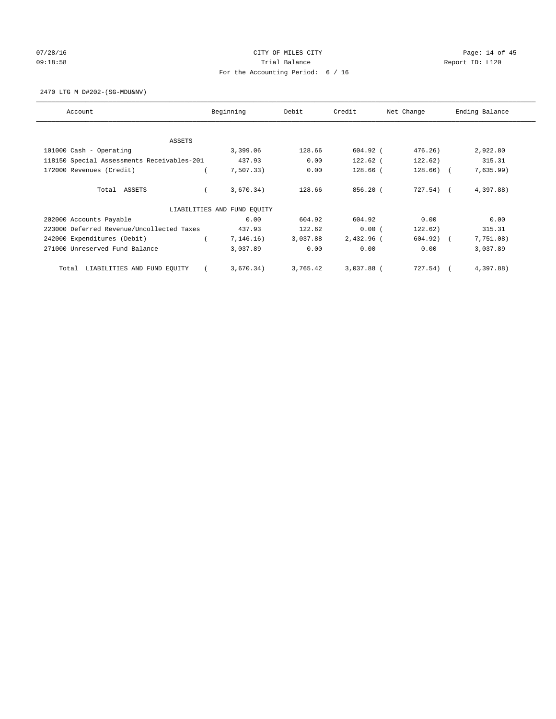# 07/28/16 Page: 14 of 45 09:18:58 Report ID: L120 For the Accounting Period: 6 / 16

2470 LTG M D#202-(SG-MDU&NV)

| Account                                    | Beginning                   | Debit    | Credit     | Net Change   | Ending Balance |
|--------------------------------------------|-----------------------------|----------|------------|--------------|----------------|
| <b>ASSETS</b>                              |                             |          |            |              |                |
| 101000 Cash - Operating                    | 3,399.06                    | 128.66   | $604.92$ ( | 476.26)      | 2,922.80       |
| 118150 Special Assessments Receivables-201 | 437.93                      | 0.00     | 122.62 (   | 122.62)      | 315.31         |
| 172000 Revenues (Credit)                   | 7,507.33)                   | 0.00     | 128.66 (   | $128.66$ ) ( | 7,635.99)      |
| Total ASSETS                               | 3,670.34)                   | 128.66   | $856.20$ ( | 727.54) (    | 4,397.88)      |
|                                            | LIABILITIES AND FUND EQUITY |          |            |              |                |
| 202000 Accounts Payable                    | 0.00                        | 604.92   | 604.92     | 0.00         | 0.00           |
| 223000 Deferred Revenue/Uncollected Taxes  | 437.93                      | 122.62   | 0.00(      | 122.62)      | 315.31         |
| 242000 Expenditures (Debit)                | 7,146.16)                   | 3,037.88 | 2,432.96 ( | $604.92)$ (  | 7,751.08)      |
| 271000 Unreserved Fund Balance             | 3,037.89                    | 0.00     | 0.00       | 0.00         | 3,037.89       |
| LIABILITIES AND FUND EQUITY<br>Total       | 3,670.34)                   | 3,765.42 | 3,037.88 ( | 727.54)      | 4,397.88)      |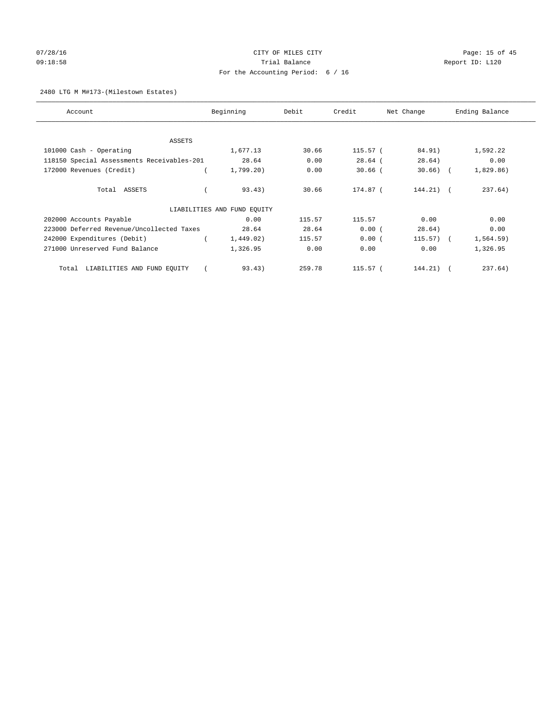# 07/28/16 Page: 15 of 45 09:18:58 Report ID: L120 For the Accounting Period: 6 / 16

## 2480 LTG M M#173-(Milestown Estates)

| Account                                    | Beginning                   | Debit  | Credit<br>Net Change |              | Ending Balance |  |
|--------------------------------------------|-----------------------------|--------|----------------------|--------------|----------------|--|
|                                            |                             |        |                      |              |                |  |
| ASSETS                                     |                             |        |                      |              |                |  |
| 101000 Cash - Operating                    | 1,677.13                    | 30.66  | 115.57 (             | 84.91)       | 1,592.22       |  |
| 118150 Special Assessments Receivables-201 | 28.64                       | 0.00   | $28.64$ (            | 28.64)       | 0.00           |  |
| 172000 Revenues (Credit)                   | 1,799.20                    | 0.00   | $30.66$ (            | $30.66$ ) (  | 1,829.86)      |  |
| Total ASSETS                               | 93.43)                      | 30.66  | 174.87 (             | $144.21$ (   | 237.64)        |  |
|                                            | LIABILITIES AND FUND EQUITY |        |                      |              |                |  |
| 202000 Accounts Payable                    | 0.00                        | 115.57 | 115.57               | 0.00         | 0.00           |  |
| 223000 Deferred Revenue/Uncollected Taxes  | 28.64                       | 28.64  | 0.00(                | 28.64)       | 0.00           |  |
| 242000 Expenditures (Debit)                | 1,449.02)                   | 115.57 | 0.00(                | $115.57$ ) ( | 1,564.59)      |  |
| 271000 Unreserved Fund Balance             | 1,326.95                    | 0.00   | 0.00                 | 0.00         | 1,326.95       |  |
| LIABILITIES AND FUND EQUITY<br>Total       | 93.43)                      | 259.78 | 115.57 (             | $144.21)$ (  | 237.64)        |  |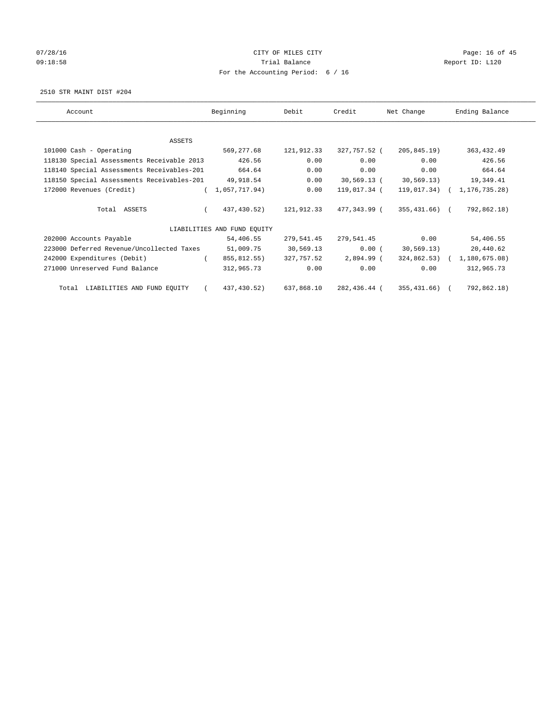# 07/28/16 Page: 16 of 45 09:18:58 Report ID: L120 For the Accounting Period: 6 / 16

2510 STR MAINT DIST #204

| Account                                              | Beginning                   | Debit      | Credit                  | Net Change    | Ending Balance              |
|------------------------------------------------------|-----------------------------|------------|-------------------------|---------------|-----------------------------|
|                                                      |                             |            |                         |               |                             |
| ASSETS                                               |                             |            |                         |               |                             |
| 101000 Cash - Operating                              | 569,277.68                  | 121,912.33 | 327,757.52 (            | 205,845.19)   | 363, 432.49                 |
| 118130 Special Assessments Receivable 2013           | 426.56                      | 0.00       | 0.00                    | 0.00          | 426.56                      |
| 118140 Special Assessments Receivables-201           | 664.64                      | 0.00       | 0.00                    | 0.00          | 664.64                      |
| 118150 Special Assessments Receivables-201 49,918.54 |                             | 0.00       | 30,569.13 (             | 30,569.13)    | 19,349.41                   |
| 172000 Revenues (Credit)                             | (1,057,717.94)              | 0.00       | 119,017.34 (            |               | 119,017.34) ( 1,176,735.28) |
| Total ASSETS                                         | 437,430.52)                 |            | 121,912.33 477,343.99 ( | 355,431.66) ( | 792,862.18)                 |
|                                                      | LIABILITIES AND FUND EQUITY |            |                         |               |                             |
| 202000 Accounts Payable                              | 54,406.55                   | 279,541.45 | 279,541.45              | 0.00          | 54,406.55                   |
| 223000 Deferred Revenue/Uncollected Taxes            | 51,009.75                   | 30,569.13  | 0.00(                   | 30,569.13)    | 20,440.62                   |
| 242000 Expenditures (Debit)                          | 855,812.55)                 | 327,757.52 | 2,894.99 (              |               | 324,862.53) ( 1,180,675.08) |
| 271000 Unreserved Fund Balance                       | 312,965.73                  | 0.00       | 0.00                    | 0.00          | 312,965.73                  |
| Total LIABILITIES AND FUND EQUITY                    | 437,430.52)                 | 637,868.10 | 282,436.44 (            | 355,431.66) ( | 792,862.18)                 |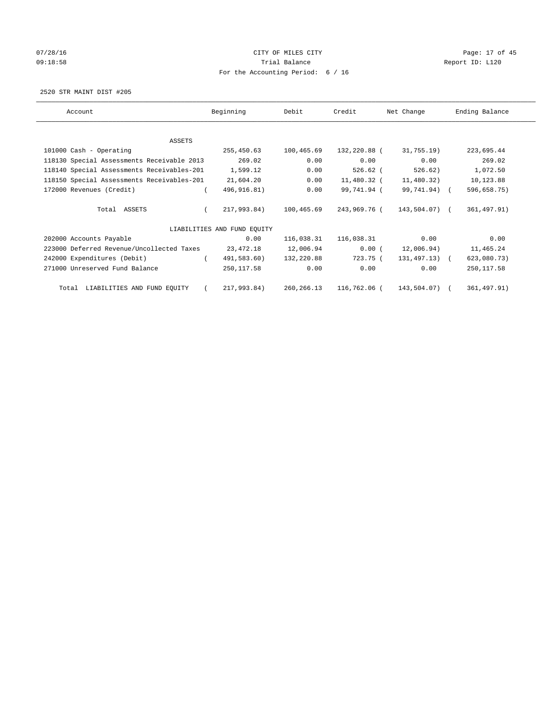# 07/28/16 Page: 17 of 45 09:18:58 Report ID: L120 For the Accounting Period: 6 / 16

2520 STR MAINT DIST #205

| Account                                    | Beginning                   | Debit      | Credit       | Net Change       | Ending Balance |
|--------------------------------------------|-----------------------------|------------|--------------|------------------|----------------|
|                                            |                             |            |              |                  |                |
| ASSETS                                     |                             |            |              |                  |                |
| 101000 Cash - Operating                    | 255,450.63                  | 100,465.69 | 132,220.88 ( | 31,755.19)       | 223,695.44     |
| 118130 Special Assessments Receivable 2013 | 269.02                      | 0.00       | 0.00         | 0.00             | 269.02         |
| 118140 Special Assessments Receivables-201 | 1,599.12                    | 0.00       | 526.62 (     | 526.62)          | 1,072.50       |
| 118150 Special Assessments Receivables-201 | 21,604.20                   | 0.00       | 11,480.32 (  | 11,480.32)       | 10,123.88      |
| 172000 Revenues (Credit)                   | 496, 916.81)                | 0.00       | 99,741.94 (  | 99,741.94) (     | 596,658.75)    |
| Total ASSETS                               | 217,993.84)                 | 100,465.69 | 243,969.76 ( | 143,504.07) (    | 361, 497.91)   |
|                                            | LIABILITIES AND FUND EQUITY |            |              |                  |                |
| 202000 Accounts Payable                    | 0.00                        | 116,038.31 | 116,038.31   | 0.00             | 0.00           |
| 223000 Deferred Revenue/Uncollected Taxes  | 23,472.18                   | 12,006.94  | 0.00(        | 12,006.94)       | 11,465.24      |
| 242000 Expenditures (Debit)                | 491,583.60)                 | 132,220.88 | 723.75 (     | $131, 497.13)$ ( | 623,080.73)    |
| 271000 Unreserved Fund Balance             | 250,117.58                  | 0.00       | 0.00         | 0.00             | 250, 117.58    |
| Total LIABILITIES AND FUND EQUITY          | 217,993.84)                 | 260,266.13 | 116,762.06 ( | 143,504.07) (    | 361, 497.91)   |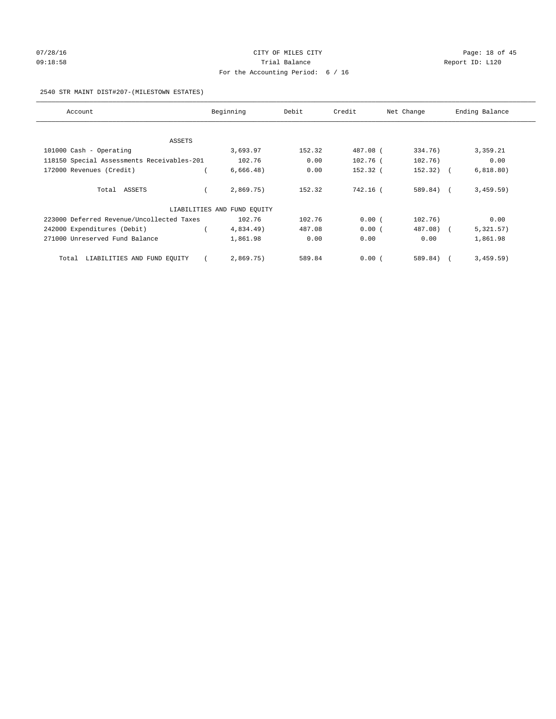# 07/28/16 Page: 18 of 45 09:18:58 Report ID: L120 For the Accounting Period: 6 / 16

#### 2540 STR MAINT DIST#207-(MILESTOWN ESTATES)

| Account                                    | Beginning                   | Debit  | Credit   | Net Change  | Ending Balance |
|--------------------------------------------|-----------------------------|--------|----------|-------------|----------------|
|                                            |                             |        |          |             |                |
| ASSETS                                     |                             |        |          |             |                |
| 101000 Cash - Operating                    | 3,693.97                    | 152.32 | 487.08 ( | 334.76)     | 3,359.21       |
| 118150 Special Assessments Receivables-201 | 102.76                      | 0.00   | 102.76 ( | 102.76)     | 0.00           |
| 172000 Revenues (Credit)                   | 6,666.48)                   | 0.00   | 152.32 ( | $152.32)$ ( | 6,818.80)      |
| Total ASSETS                               | 2,869.75)                   | 152.32 | 742.16 ( | 589.84) (   | 3,459.59)      |
|                                            | LIABILITIES AND FUND EQUITY |        |          |             |                |
| 223000 Deferred Revenue/Uncollected Taxes  | 102.76                      | 102.76 | 0.00(    | 102.76)     | 0.00           |
| 242000 Expenditures (Debit)                | 4,834.49)                   | 487.08 | 0.00(    | 487.08) (   | 5,321.57)      |
| 271000 Unreserved Fund Balance             | 1,861.98                    | 0.00   | 0.00     | 0.00        | 1,861.98       |
| Total LIABILITIES AND FUND EQUITY          | 2,869.75)                   | 589.84 | 0.00(    | 589.84)     | 3,459.59)      |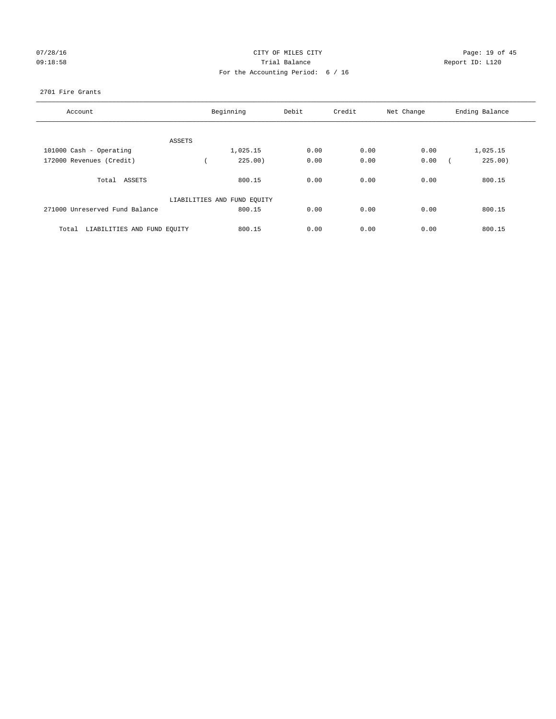# 07/28/16 Page: 19 of 45 09:18:58 Trial Balance Report ID: L120 For the Accounting Period: 6 / 16

#### 2701 Fire Grants

| Account                              |        | Beginning                   | Debit | Credit | Net Change | Ending Balance |
|--------------------------------------|--------|-----------------------------|-------|--------|------------|----------------|
|                                      |        |                             |       |        |            |                |
|                                      | ASSETS |                             |       |        |            |                |
| 101000 Cash - Operating              |        | 1,025.15                    | 0.00  | 0.00   | 0.00       | 1,025.15       |
| 172000 Revenues (Credit)             |        | 225.00)                     | 0.00  | 0.00   | 0.00       | 225.00)        |
| Total ASSETS                         |        | 800.15                      | 0.00  | 0.00   | 0.00       | 800.15         |
|                                      |        | LIABILITIES AND FUND EQUITY |       |        |            |                |
| 271000 Unreserved Fund Balance       |        | 800.15                      | 0.00  | 0.00   | 0.00       | 800.15         |
| LIABILITIES AND FUND EQUITY<br>Total |        | 800.15                      | 0.00  | 0.00   | 0.00       | 800.15         |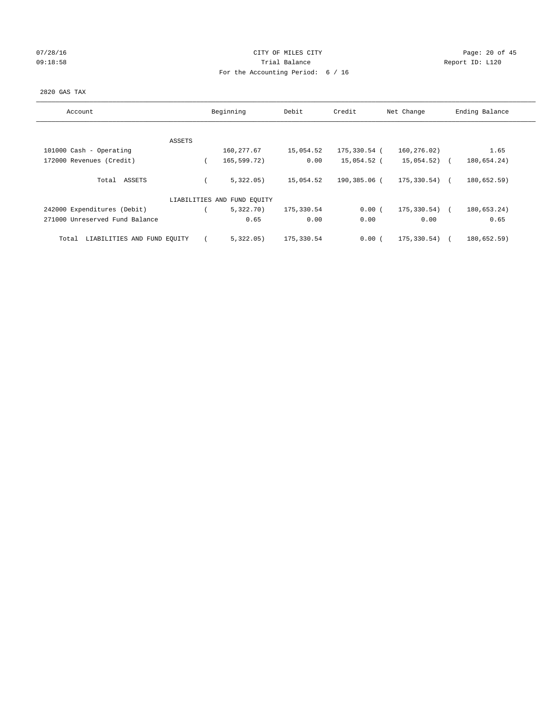# 07/28/16 Page: 20 of 45 09:18:58 Report ID: L120 For the Accounting Period: 6 / 16

## 2820 GAS TAX

| Account                              |        | Beginning                   | Debit      | Credit       | Net Change        | Ending Balance |
|--------------------------------------|--------|-----------------------------|------------|--------------|-------------------|----------------|
|                                      |        |                             |            |              |                   |                |
|                                      | ASSETS |                             |            |              |                   |                |
| 101000 Cash - Operating              |        | 160, 277.67                 | 15,054.52  | 175,330.54 ( | 160,276.02)       | 1.65           |
| 172000 Revenues (Credit)             |        | 165,599.72)                 | 0.00       | 15,054.52 (  | 15,054.52) (      | 180,654.24)    |
|                                      |        |                             |            |              |                   |                |
| Total ASSETS                         |        | 5,322.05)                   | 15,054.52  | 190,385.06 ( | $175, 330.54$ ) ( | 180,652.59)    |
|                                      |        |                             |            |              |                   |                |
|                                      |        | LIABILITIES AND FUND EQUITY |            |              |                   |                |
| 242000 Expenditures (Debit)          |        | 5,322.70)                   | 175,330.54 | 0.00(        | 175,330.54)       | 180,653.24)    |
| 271000 Unreserved Fund Balance       |        | 0.65                        | 0.00       | 0.00         | 0.00              | 0.65           |
|                                      |        |                             |            |              |                   |                |
| LIABILITIES AND FUND EQUITY<br>Total |        | 5,322.05)                   | 175,330.54 | 0.00(        | 175,330.54)       | 180,652.59)    |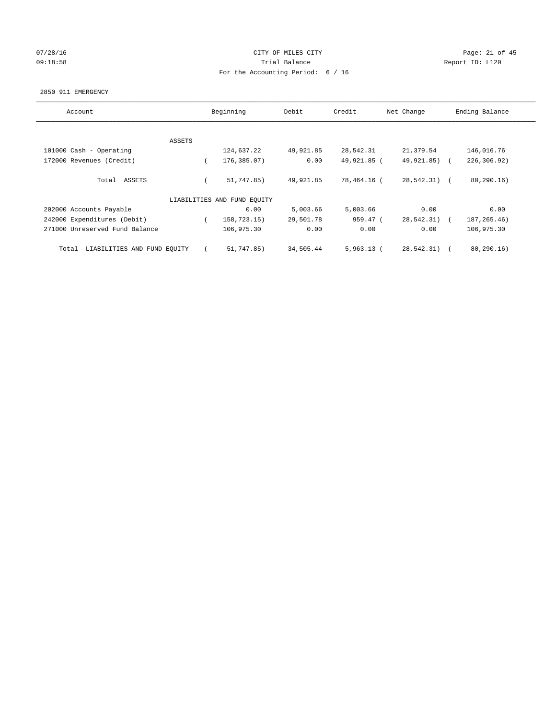# 07/28/16 Page: 21 of 45 09:18:58 Report ID: L120 For the Accounting Period: 6 / 16

#### 2850 911 EMERGENCY

| Account                              | Beginning |                             | Debit     | Credit       | Net Change    | Ending Balance |
|--------------------------------------|-----------|-----------------------------|-----------|--------------|---------------|----------------|
|                                      |           |                             |           |              |               |                |
|                                      | ASSETS    |                             |           |              |               |                |
| 101000 Cash - Operating              |           | 124,637.22                  | 49,921.85 | 28,542.31    | 21,379.54     | 146,016.76     |
| 172000 Revenues (Credit)             |           | 176,385.07)                 | 0.00      | 49,921.85 (  | 49,921.85) (  | 226,306.92)    |
| Total ASSETS                         |           | 51,747.85)                  | 49,921.85 | 78,464.16 (  | $28,542.31$ ( | 80, 290.16     |
|                                      |           | LIABILITIES AND FUND EQUITY |           |              |               |                |
| 202000 Accounts Payable              |           | 0.00                        | 5,003.66  | 5,003.66     | 0.00          | 0.00           |
| 242000 Expenditures (Debit)          |           | 158,723.15)                 | 29,501.78 | 959.47 (     | 28,542.31)    | 187, 265.46)   |
| 271000 Unreserved Fund Balance       |           | 106,975.30                  | 0.00      | 0.00         | 0.00          | 106,975.30     |
| LIABILITIES AND FUND EQUITY<br>Total |           | 51,747.85)                  | 34,505.44 | $5,963.13$ ( | 28,542.31)    | 80, 290.16)    |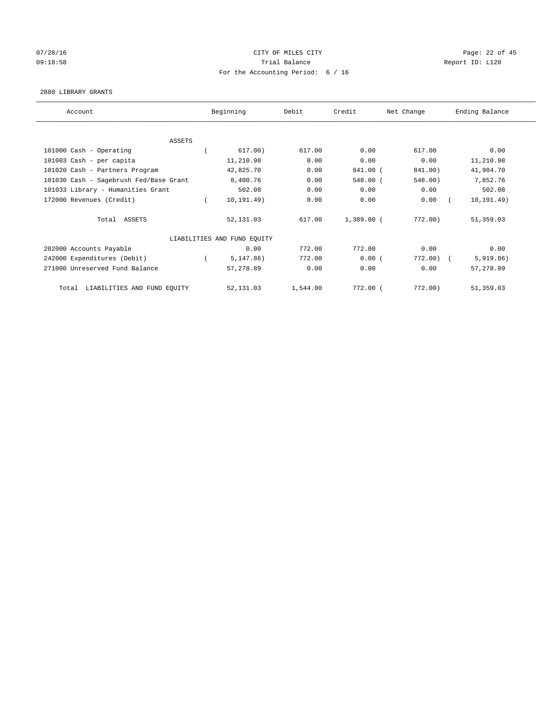# 07/28/16 Page: 22 of 45 09:18:58 Report ID: L120 For the Accounting Period: 6 / 16

#### 2880 LIBRARY GRANTS

| Account                                | Beginning                   | Debit    | Credit       | Net Change | Ending Balance |
|----------------------------------------|-----------------------------|----------|--------------|------------|----------------|
|                                        |                             |          |              |            |                |
| <b>ASSETS</b>                          |                             |          |              |            |                |
| 101000 Cash - Operating                | 617.00)                     | 617.00   | 0.00         | 617.00     | 0.00           |
| 101003 Cash - per capita               | 11,210.98                   | 0.00     | 0.00         | 0.00       | 11,210.98      |
| 101020 Cash - Partners Program         | 42,825.70                   | 0.00     | 841.00 (     | 841.00)    | 41,984.70      |
| 101030 Cash - Sagebrush Fed/Base Grant | 8,400.76                    | 0.00     | 548.00 (     | 548.00)    | 7,852.76       |
| 101033 Library - Humanities Grant      | 502.08                      | 0.00     | 0.00         | 0.00       | 502.08         |
| 172000 Revenues (Credit)               | 10, 191.49)                 | 0.00     | 0.00         | 0.00       | 10, 191.49)    |
| Total ASSETS                           | 52,131.03                   | 617.00   | $1,389.00$ ( | $772.00$ ) | 51,359.03      |
|                                        | LIABILITIES AND FUND EQUITY |          |              |            |                |
| 202000 Accounts Payable                | 0.00                        | 772.00   | 772.00       | 0.00       | 0.00           |
| 242000 Expenditures (Debit)            | 5, 147.86)                  | 772.00   | 0.00(        | 772.00)    | 5,919.86)      |
| 271000 Unreserved Fund Balance         | 57,278.89                   | 0.00     | 0.00         | 0.00       | 57,278.89      |
| Total LIABILITIES AND FUND EQUITY      | 52,131.03                   | 1,544.00 | 772.00 (     | $772.00$ ) | 51,359.03      |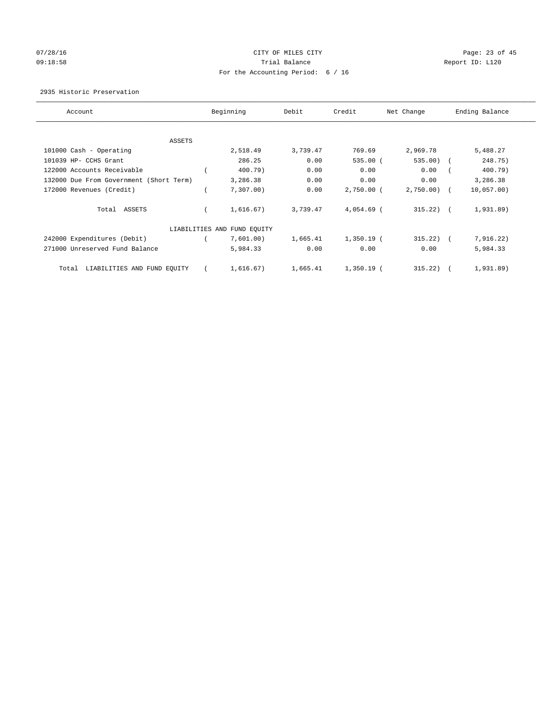# 07/28/16 Page: 23 of 45 09:18:58 Report ID: L120 For the Accounting Period: 6 / 16

## 2935 Historic Preservation

| Account                                 |  | Beginning                   | Debit    | Credit       | Net Change   | Ending Balance |  |
|-----------------------------------------|--|-----------------------------|----------|--------------|--------------|----------------|--|
| ASSETS                                  |  |                             |          |              |              |                |  |
| 101000 Cash - Operating                 |  | 2,518.49                    | 3,739.47 | 769.69       | 2,969.78     | 5,488.27       |  |
|                                         |  |                             |          |              |              |                |  |
| 101039 HP- CCHS Grant                   |  | 286.25                      | 0.00     | $535.00$ (   | 535.00)      | 248.75)        |  |
| 122000 Accounts Receivable              |  | 400.79)                     | 0.00     | 0.00         | 0.00         | 400.79)        |  |
| 132000 Due From Government (Short Term) |  | 3,286.38                    | 0.00     | 0.00         | 0.00         | 3,286.38       |  |
| 172000 Revenues (Credit)                |  | 7,307.00                    | 0.00     | $2,750.00$ ( | $2,750.00$ ( | 10,057.00)     |  |
| Total ASSETS                            |  | 1,616.67)                   | 3,739.47 | $4,054.69$ ( | $315.22$ ) ( | 1,931.89)      |  |
|                                         |  | LIABILITIES AND FUND EQUITY |          |              |              |                |  |
| 242000 Expenditures (Debit)             |  | 7,601.00)                   | 1,665.41 | $1,350.19$ ( | 315.22)      | 7,916.22)      |  |
| 271000 Unreserved Fund Balance          |  | 5,984.33                    | 0.00     | 0.00         | 0.00         | 5,984.33       |  |
| LIABILITIES AND FUND EQUITY<br>Total    |  | 1,616.67)                   | 1,665.41 | $1,350.19$ ( | 315.22       | 1,931.89)      |  |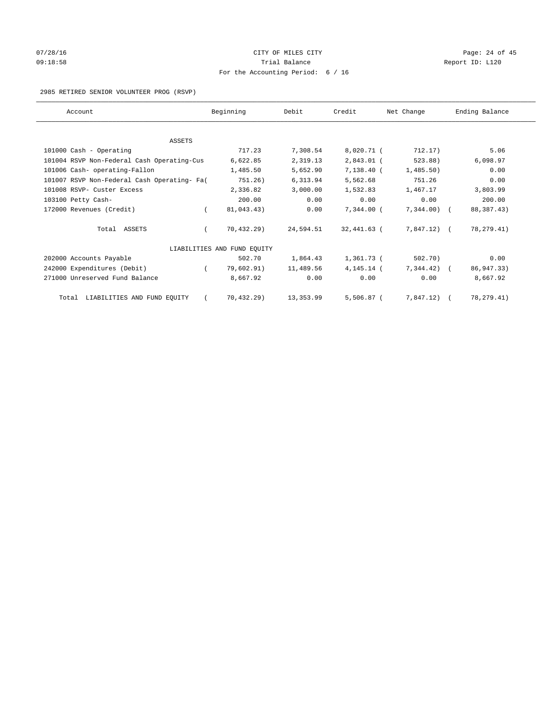# 07/28/16 Page: 24 of 45 09:18:58 Report ID: L120 For the Accounting Period: 6 / 16

2985 RETIRED SENIOR VOLUNTEER PROG (RSVP)

| Account                                     |          | Beginning                   | Debit     | Credit        | Net Change     | Ending Balance |
|---------------------------------------------|----------|-----------------------------|-----------|---------------|----------------|----------------|
|                                             |          |                             |           |               |                |                |
| <b>ASSETS</b>                               |          |                             |           |               |                |                |
| 101000 Cash - Operating                     |          | 717.23                      | 7,308.54  | 8,020.71 (    | 712.17)        | 5.06           |
| 101004 RSVP Non-Federal Cash Operating-Cus  |          | 6,622.85                    | 2,319.13  | $2,843.01$ (  | 523.88)        | 6,098.97       |
| 101006 Cash- operating-Fallon               |          | 1,485.50                    | 5,652.90  | $7,138.40$ (  | 1,485.50)      | 0.00           |
| 101007 RSVP Non-Federal Cash Operating- Fa( |          | 751.26)                     | 6,313.94  | 5,562.68      | 751.26         | 0.00           |
| 101008 RSVP- Custer Excess                  |          | 2,336.82                    | 3,000.00  | 1,532.83      | 1,467.17       | 3,803.99       |
| 103100 Petty Cash-                          |          | 200.00                      | 0.00      | 0.00          | 0.00           | 200.00         |
| 172000 Revenues (Credit)                    | $\left($ | 81,043.43)                  | 0.00      | $7.344.00$ (  | $7,344.00$ (   | 88, 387. 43)   |
| Total ASSETS                                |          | 70.432.29                   | 24,594.51 | 32,441.63 (   | 7,847.12) (    | 78, 279. 41)   |
|                                             |          | LIABILITIES AND FUND EQUITY |           |               |                |                |
| 202000 Accounts Payable                     |          | 502.70                      | 1,864.43  | 1,361.73 (    | 502.70)        | 0.00           |
| 242000 Expenditures (Debit)                 |          | 79,602.91)                  | 11,489.56 | $4, 145.14$ ( | $7,344.42$ ) ( | 86, 947. 33)   |
| 271000 Unreserved Fund Balance              |          | 8,667.92                    | 0.00      | 0.00          | 0.00           | 8,667.92       |
| Total LIABILITIES AND FUND EQUITY           |          | 70,432.29)                  | 13,353.99 | $5,506.87$ (  | 7,847.12) (    | 78, 279. 41)   |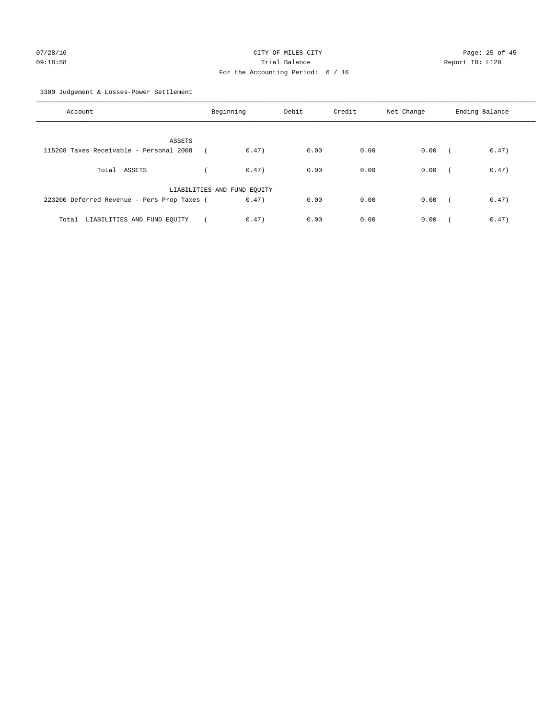3300 Judgement & Losses-Power Settlement

| Account                                     | Beginning                   |       | Debit | Credit | Net Change | Ending Balance |       |
|---------------------------------------------|-----------------------------|-------|-------|--------|------------|----------------|-------|
| ASSETS                                      |                             |       |       |        |            |                |       |
| 115208 Taxes Receivable - Personal 2008     |                             | 0.47) | 0.00  | 0.00   | 0.00       | $\sqrt{2}$     | 0.47) |
| Total ASSETS                                |                             | 0.47) | 0.00  | 0.00   | 0.00       | $\sqrt{2}$     | 0.47) |
|                                             | LIABILITIES AND FUND EQUITY |       |       |        |            |                |       |
| 223200 Deferred Revenue - Pers Prop Taxes ( |                             | 0.47) | 0.00  | 0.00   | 0.00       | $\sim$         | 0.47) |
| LIABILITIES AND FUND EQUITY<br>Total        |                             | 0.47) | 0.00  | 0.00   | 0.00       |                | 0.47) |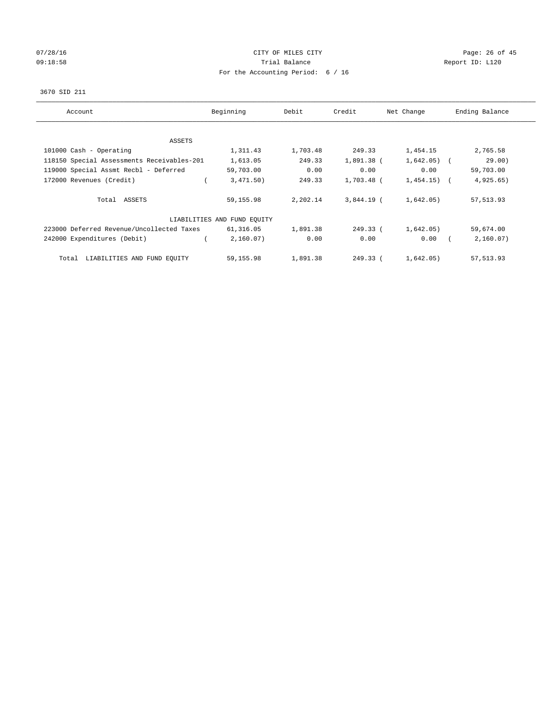# 07/28/16 Page: 26 of 45 09:18:58 Report ID: L120 For the Accounting Period: 6 / 16

## 3670 SID 211

| Account                                    | Beginning                   | Debit    | Credit       | Net Change   | Ending Balance |
|--------------------------------------------|-----------------------------|----------|--------------|--------------|----------------|
|                                            |                             |          |              |              |                |
| ASSETS                                     |                             |          |              |              |                |
| 101000 Cash - Operating                    | 1,311.43                    | 1,703.48 | 249.33       | 1,454.15     | 2,765.58       |
| 118150 Special Assessments Receivables-201 | 1,613.05                    | 249.33   | 1,891.38 (   | $1,642.05$ ( | 29.00)         |
| 119000 Special Assmt Recbl - Deferred      | 59,703.00                   | 0.00     | 0.00         | 0.00         | 59,703.00      |
| 172000 Revenues (Credit)                   | 3,471.50)                   | 249.33   | 1,703.48 (   | $1,454.15$ ( | 4,925.65)      |
| Total ASSETS                               | 59,155.98                   | 2,202.14 | $3.844.19$ ( | 1,642.05)    | 57, 513.93     |
|                                            | LIABILITIES AND FUND EQUITY |          |              |              |                |
| 223000 Deferred Revenue/Uncollected Taxes  | 61,316.05                   | 1,891.38 | 249.33 (     | 1,642.05)    | 59,674.00      |
| 242000 Expenditures (Debit)                | 2,160.07)                   | 0.00     | 0.00         | 0.00         | 2,160.07)      |
| LIABILITIES AND FUND EQUITY<br>Total       | 59,155.98                   | 1,891.38 | 249.33 (     | 1,642.05)    | 57,513.93      |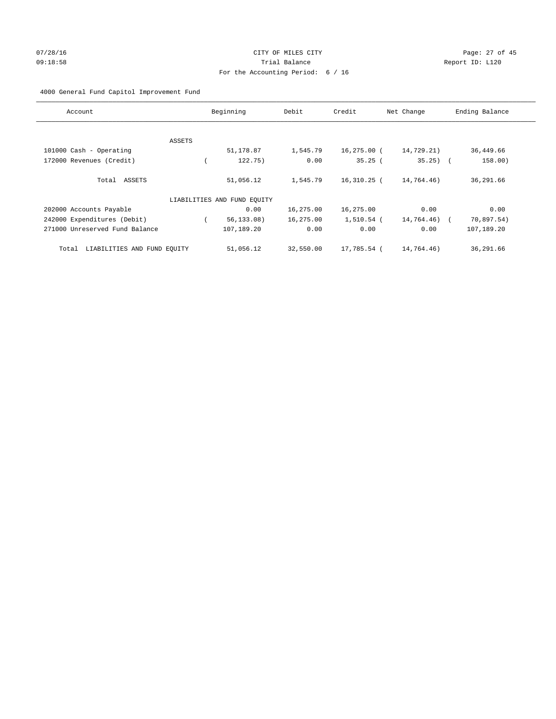# 07/28/16 Page: 27 of 45 09:18:58 Report ID: L120 For the Accounting Period: 6 / 16

# 4000 General Fund Capitol Improvement Fund

| Account                              |        | Beginning                   | Debit     | Credit      | Net Change   | Ending Balance |
|--------------------------------------|--------|-----------------------------|-----------|-------------|--------------|----------------|
|                                      |        |                             |           |             |              |                |
|                                      | ASSETS |                             |           |             |              |                |
| 101000 Cash - Operating              |        | 51,178.87                   | 1,545.79  | 16,275.00 ( | 14,729.21)   | 36,449.66      |
| 172000 Revenues (Credit)             |        | 122.75)                     | 0.00      | 35.25(      | $35.25$ ) (  | 158.00)        |
| Total ASSETS                         |        | 51,056.12                   | 1,545.79  | 16,310.25 ( | 14,764.46)   | 36,291.66      |
|                                      |        | LIABILITIES AND FUND EQUITY |           |             |              |                |
| 202000 Accounts Payable              |        | 0.00                        | 16,275.00 | 16,275.00   | 0.00         | 0.00           |
| 242000 Expenditures (Debit)          |        | 56, 133.08)                 | 16,275.00 | 1,510.54 (  | 14,764.46) ( | 70,897.54)     |
| 271000 Unreserved Fund Balance       |        | 107,189.20                  | 0.00      | 0.00        | 0.00         | 107,189.20     |
| LIABILITIES AND FUND EQUITY<br>Total |        | 51,056.12                   | 32,550.00 | 17,785.54 ( | 14,764.46)   | 36,291.66      |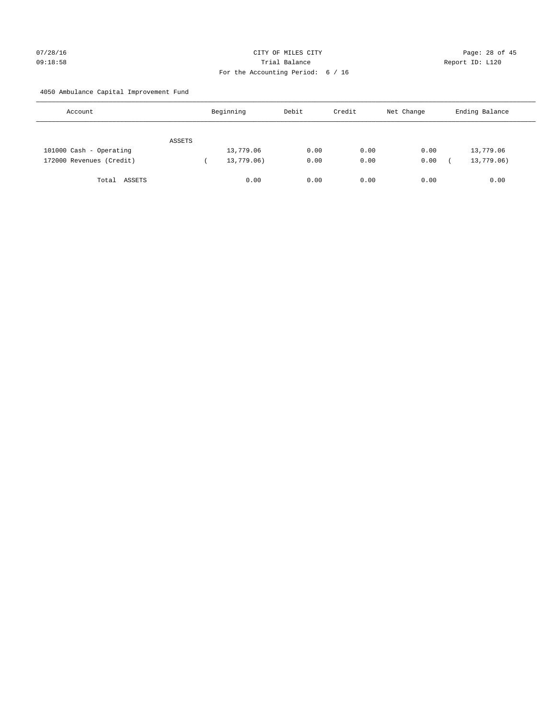# 07/28/16 Page: 28 of 45 09:18:58 Trial Balance Report ID: L120 For the Accounting Period: 6 / 16

4050 Ambulance Capital Improvement Fund

| Account                  |        | Beginning  | Debit | Credit | Net Change | Ending Balance |
|--------------------------|--------|------------|-------|--------|------------|----------------|
|                          | ASSETS |            |       |        |            |                |
| 101000 Cash - Operating  |        | 13,779.06  | 0.00  | 0.00   | 0.00       | 13,779.06      |
| 172000 Revenues (Credit) |        | 13,779.06) | 0.00  | 0.00   | 0.00       | 13,779.06)     |
| Total ASSETS             |        | 0.00       | 0.00  | 0.00   | 0.00       | 0.00           |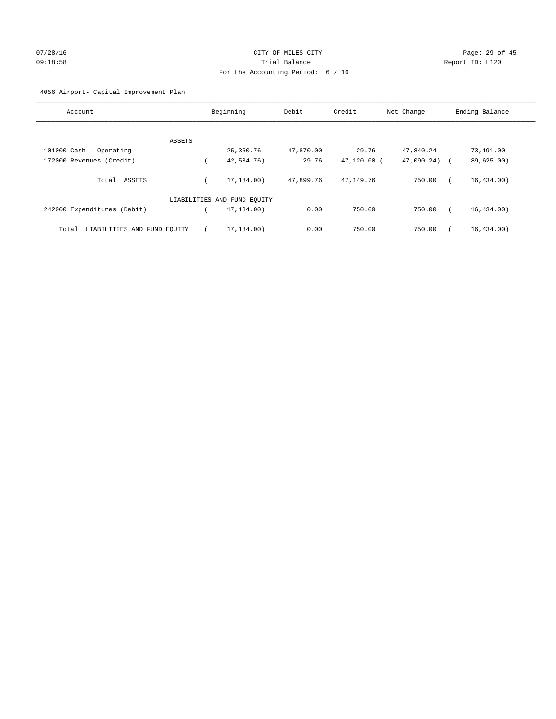# 07/28/16 Page: 29 of 45 09:18:58 Trial Balance Report ID: L120 For the Accounting Period: 6 / 16

# 4056 Airport- Capital Improvement Plan

| Account                              | Beginning                   | Debit     | Credit      | Net Change | Ending Balance |
|--------------------------------------|-----------------------------|-----------|-------------|------------|----------------|
|                                      |                             |           |             |            |                |
| ASSETS                               |                             |           |             |            |                |
| 101000 Cash - Operating              | 25,350.76                   | 47,870.00 | 29.76       | 47,840.24  | 73,191.00      |
| 172000 Revenues (Credit)             | 42,534.76)                  | 29.76     | 47,120.00 ( | 47,090.24) | 89,625.00)     |
| Total<br>ASSETS                      | 17,184.00)                  | 47,899.76 | 47,149.76   | 750.00     | 16, 434.00)    |
|                                      | LIABILITIES AND FUND EQUITY |           |             |            |                |
| 242000 Expenditures (Debit)          | 17,184.00)                  | 0.00      | 750.00      | 750.00     | 16, 434.00)    |
| LIABILITIES AND FUND EQUITY<br>Total | 17,184.00)                  | 0.00      | 750.00      | 750.00     | 16, 434.00)    |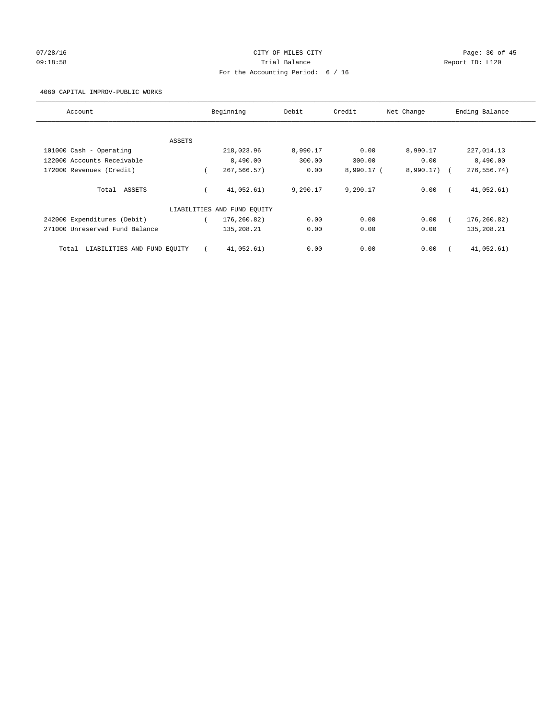# 07/28/16 Page: 30 of 45 09:18:58 Report ID: L120 For the Accounting Period: 6 / 16

4060 CAPITAL IMPROV-PUBLIC WORKS

| Account                              |        | Beginning                   | Debit    | Credit     | Net Change | Ending Balance |
|--------------------------------------|--------|-----------------------------|----------|------------|------------|----------------|
|                                      |        |                             |          |            |            |                |
|                                      | ASSETS |                             |          |            |            |                |
| 101000 Cash - Operating              |        | 218,023.96                  | 8,990.17 | 0.00       | 8,990.17   | 227,014.13     |
| 122000 Accounts Receivable           |        | 8,490.00                    | 300.00   | 300.00     | 0.00       | 8,490.00       |
| 172000 Revenues (Credit)             |        | 267,566.57)                 | 0.00     | 8,990.17 ( | 8,990.17)  | 276, 556. 74)  |
| Total ASSETS                         |        | 41,052.61)                  | 9,290.17 | 9,290.17   | 0.00       | 41,052.61)     |
|                                      |        | LIABILITIES AND FUND EQUITY |          |            |            |                |
| 242000 Expenditures (Debit)          |        | 176,260.82)                 | 0.00     | 0.00       | 0.00       | 176,260.82)    |
| 271000 Unreserved Fund Balance       |        | 135,208.21                  | 0.00     | 0.00       | 0.00       | 135,208.21     |
| LIABILITIES AND FUND EQUITY<br>Total |        | 41,052.61)                  | 0.00     | 0.00       | 0.00       | 41,052.61)     |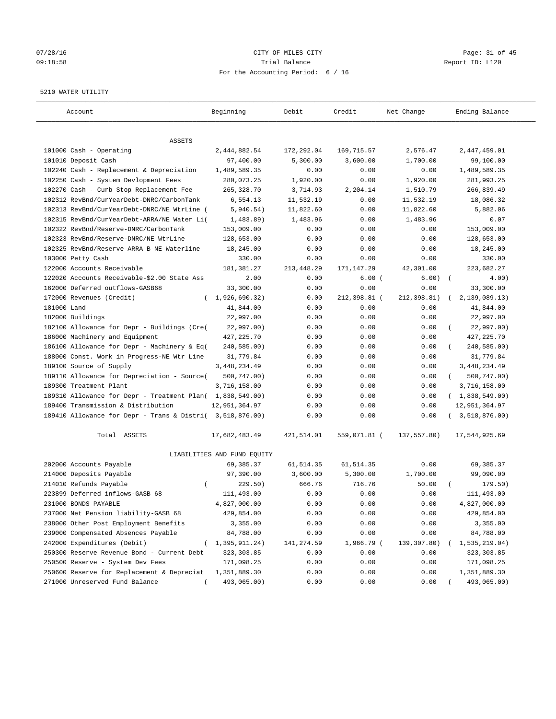# 07/28/16 Page: 31 of 45 09:18:58 Trial Balance Report ID: L120 For the Accounting Period: 6 / 16

#### 5210 WATER UTILITY

| Account                                                   | Beginning                   | Debit       | Credit       | Net Change  | Ending Balance          |
|-----------------------------------------------------------|-----------------------------|-------------|--------------|-------------|-------------------------|
| ASSETS                                                    |                             |             |              |             |                         |
| 101000 Cash - Operating                                   | 2,444,882.54                | 172,292.04  | 169, 715.57  | 2,576.47    | 2,447,459.01            |
| 101010 Deposit Cash                                       | 97,400.00                   | 5,300.00    | 3,600.00     | 1,700.00    | 99,100.00               |
| 102240 Cash - Replacement & Depreciation                  | 1,489,589.35                | 0.00        | 0.00         | 0.00        | 1,489,589.35            |
| 102250 Cash - System Devlopment Fees                      | 280,073.25                  | 1,920.00    | 0.00         | 1,920.00    | 281,993.25              |
| 102270 Cash - Curb Stop Replacement Fee                   | 265,328.70                  | 3,714.93    | 2,204.14     | 1,510.79    | 266,839.49              |
| 102312 RevBnd/CurYearDebt-DNRC/CarbonTank                 | 6,554.13                    | 11,532.19   | 0.00         | 11,532.19   | 18,086.32               |
| 102313 RevBnd/CurYearDebt-DNRC/NE WtrLine (               | 5,940.54)                   | 11,822.60   | 0.00         | 11,822.60   | 5,882.06                |
| 102315 RevBnd/CurYearDebt-ARRA/NE Water Li(               | 1,483.89)                   | 1,483.96    | 0.00         | 1,483.96    | 0.07                    |
| 102322 RevBnd/Reserve-DNRC/CarbonTank                     | 153,009.00                  | 0.00        | 0.00         | 0.00        | 153,009.00              |
| 102323 RevBnd/Reserve-DNRC/NE WtrLine                     | 128,653.00                  | 0.00        | 0.00         | 0.00        | 128,653.00              |
| 102325 RevBnd/Reserve-ARRA B-NE Waterline                 | 18,245.00                   | 0.00        | 0.00         | 0.00        | 18,245.00               |
| 103000 Petty Cash                                         | 330.00                      | 0.00        | 0.00         | 0.00        | 330.00                  |
| 122000 Accounts Receivable                                | 181, 381. 27                | 213, 448.29 | 171,147.29   | 42,301.00   | 223,682.27              |
| 122020 Accounts Receivable-\$2.00 State Ass               | 2.00                        | 0.00        | 6.00(        | 6.00)       | $\sqrt{ }$<br>4.00)     |
| 162000 Deferred outflows-GASB68                           | 33,300.00                   | 0.00        | 0.00         | 0.00        | 33,300.00               |
| 172000 Revenues (Credit)                                  | (1, 926, 690.32)            | 0.00        | 212,398.81 ( | 212,398.81) | 2,139,089.13)           |
| 181000 Land                                               | 41,844.00                   | 0.00        | 0.00         | 0.00        | 41,844.00               |
| 182000 Buildings                                          | 22,997.00                   | 0.00        | 0.00         | 0.00        | 22,997.00               |
| 182100 Allowance for Depr - Buildings (Cre(               | 22,997.00)                  | 0.00        | 0.00         | 0.00        | 22,997.00)              |
| 186000 Machinery and Equipment                            | 427, 225. 70                | 0.00        | 0.00         | 0.00        | 427, 225.70             |
| 186100 Allowance for Depr - Machinery & Eq(               | 240,585.00)                 | 0.00        | 0.00         | 0.00        | 240,585.00)             |
| 188000 Const. Work in Progress-NE Wtr Line                | 31,779.84                   | 0.00        | 0.00         | 0.00        | 31,779.84               |
| 189100 Source of Supply                                   | 3,448,234.49                | 0.00        | 0.00         | 0.00        | 3, 448, 234.49          |
| 189110 Allowance for Depreciation - Source(               | 500,747.00)                 | 0.00        | 0.00         | 0.00        | 500,747.00)<br>$\left($ |
| 189300 Treatment Plant                                    | 3,716,158.00                | 0.00        | 0.00         | 0.00        | 3,716,158.00            |
| 189310 Allowance for Depr - Treatment Plan( 1,838,549.00) |                             | 0.00        | 0.00         | 0.00        | (1,838,549.00)          |
| 189400 Transmission & Distribution                        | 12,951,364.97               | 0.00        | 0.00         | 0.00        | 12,951,364.97           |
| 189410 Allowance for Depr - Trans & Distri( 3,518,876.00) |                             | 0.00        | 0.00         | 0.00        | 3,518,876.00)           |
| Total ASSETS                                              | 17,682,483.49               | 421,514.01  | 559,071.81 ( | 137,557.80) | 17,544,925.69           |
|                                                           | LIABILITIES AND FUND EQUITY |             |              |             |                         |
| 202000 Accounts Payable                                   | 69,385.37                   | 61,514.35   | 61,514.35    | 0.00        | 69,385.37               |
| 214000 Deposits Payable                                   | 97,390.00                   | 3,600.00    | 5,300.00     | 1,700.00    | 99,090.00               |
| 214010 Refunds Payable<br>$\left($                        | 229.50)                     | 666.76      | 716.76       | 50.00       | 179.50)                 |
| 223899 Deferred inflows-GASB 68                           | 111,493.00                  | 0.00        | 0.00         | 0.00        | 111,493.00              |
| 231000 BONDS PAYABLE                                      | 4,827,000.00                | 0.00        | 0.00         | 0.00        | 4,827,000.00            |
| 237000 Net Pension liability-GASB 68                      | 429,854.00                  | 0.00        | 0.00         | 0.00        | 429,854.00              |
| 238000 Other Post Employment Benefits                     | 3,355.00                    | 0.00        | 0.00         | 0.00        | 3,355.00                |
| 239000 Compensated Absences Payable                       | 84,788.00                   | 0.00        | 0.00         | 0.00        | 84,788.00               |
| 242000 Expenditures (Debit)                               | 1,395,911.24)               | 141,274.59  | 1,966.79 (   | 139,307.80) | 1,535,219.04)           |
| 250300 Reserve Revenue Bond - Current Debt                | 323, 303.85                 | 0.00        | 0.00         | 0.00        | 323, 303.85             |
| 250500 Reserve - System Dev Fees                          | 171,098.25                  | 0.00        | 0.00         | 0.00        | 171,098.25              |
| 250600 Reserve for Replacement & Depreciat                | 1,351,889.30                | 0.00        | 0.00         | 0.00        | 1,351,889.30            |
| 271000 Unreserved Fund Balance                            | 493,065.00)                 | 0.00        | 0.00         | 0.00        | 493,065.00)             |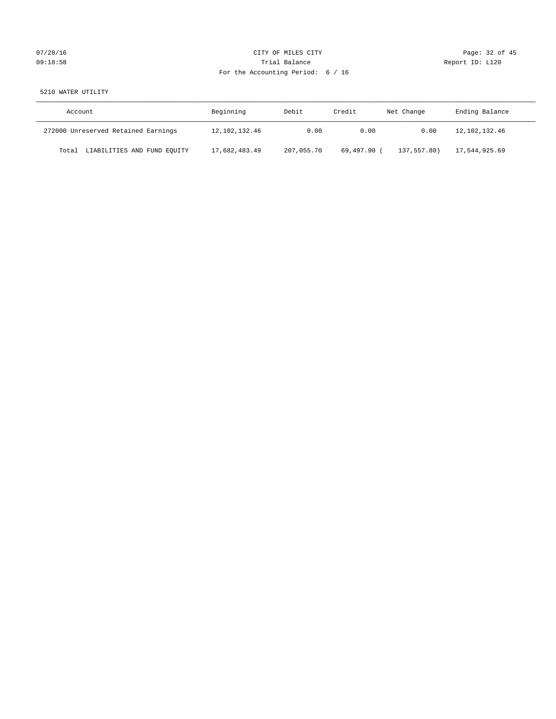# 07/28/16 Page: 32 of 45 09:18:58 Report ID: L120 For the Accounting Period: 6 / 16

# 5210 WATER UTILITY

| Account                              | Beginning        | Debit      | Credit      | Net Change  | Ending Balance |
|--------------------------------------|------------------|------------|-------------|-------------|----------------|
| 272000 Unreserved Retained Earnings  | 12, 102, 132, 46 | 0.00       | 0.00        | 0.00        | 12,102,132.46  |
| LIABILITIES AND FUND EQUITY<br>Total | 17,682,483.49    | 207,055.70 | 69,497.90 ( | 137,557.80) | 17,544,925.69  |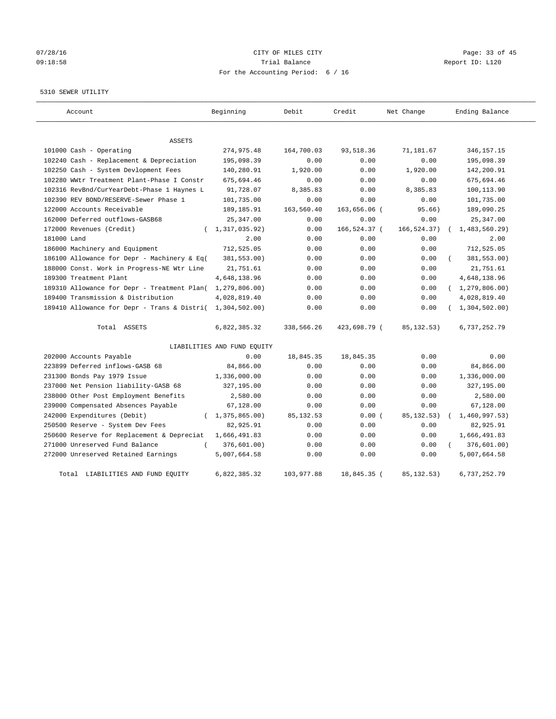# 07/28/16 Page: 33 of 45 09:18:58 Trial Balance Report ID: L120 For the Accounting Period: 6 / 16

#### 5310 SEWER UTILITY

| Account                                     | Beginning                   | Debit      | Credit       | Net Change   | Ending Balance   |
|---------------------------------------------|-----------------------------|------------|--------------|--------------|------------------|
| <b>ASSETS</b>                               |                             |            |              |              |                  |
| 101000 Cash - Operating                     | 274,975.48                  | 164,700.03 | 93,518.36    | 71,181.67    | 346, 157. 15     |
| 102240 Cash - Replacement & Depreciation    | 195,098.39                  | 0.00       | 0.00         | 0.00         | 195,098.39       |
| 102250 Cash - System Devlopment Fees        | 140,280.91                  | 1,920.00   | 0.00         | 1,920.00     | 142,200.91       |
| 102280 WWtr Treatment Plant-Phase I Constr  | 675,694.46                  | 0.00       | 0.00         | 0.00         | 675,694.46       |
| 102316 RevBnd/CurYearDebt-Phase 1 Haynes L  | 91,728.07                   | 8,385.83   | 0.00         | 8,385.83     | 100,113.90       |
| 102390 REV BOND/RESERVE-Sewer Phase 1       | 101,735.00                  | 0.00       | 0.00         | 0.00         | 101,735.00       |
| 122000 Accounts Receivable                  | 189, 185. 91                | 163,560.40 | 163,656.06 ( | 95.66)       | 189,090.25       |
| 162000 Deferred outflows-GASB68             | 25, 347.00                  | 0.00       | 0.00         | 0.00         | 25, 347.00       |
| 172000 Revenues (Credit)                    | 1,317,035.92)               | 0.00       | 166,524.37 ( | 166, 524.37) | 1,483,560.29     |
| 181000 Land                                 | 2.00                        | 0.00       | 0.00         | 0.00         | 2.00             |
| 186000 Machinery and Equipment              | 712,525.05                  | 0.00       | 0.00         | 0.00         | 712,525.05       |
| 186100 Allowance for Depr - Machinery & Eq( | 381,553.00)                 | 0.00       | 0.00         | 0.00         | 381,553.00)      |
| 188000 Const. Work in Progress-NE Wtr Line  | 21,751.61                   | 0.00       | 0.00         | 0.00         | 21,751.61        |
| 189300 Treatment Plant                      | 4,648,138.96                | 0.00       | 0.00         | 0.00         | 4,648,138.96     |
| 189310 Allowance for Depr - Treatment Plan( | 1, 279, 806.00)             | 0.00       | 0.00         | 0.00         | (1, 279, 806.00) |
| 189400 Transmission & Distribution          | 4,028,819.40                | 0.00       | 0.00         | 0.00         | 4,028,819.40     |
| 189410 Allowance for Depr - Trans & Distri( | 1,304,502.00                | 0.00       | 0.00         | 0.00         | 1,304,502.00     |
| Total ASSETS                                | 6,822,385.32                | 338,566.26 | 423,698.79 ( | 85, 132.53)  | 6,737,252.79     |
|                                             | LIABILITIES AND FUND EQUITY |            |              |              |                  |
| 202000 Accounts Payable                     | 0.00                        | 18,845.35  | 18,845.35    | 0.00         | 0.00             |
| 223899 Deferred inflows-GASB 68             | 84,866.00                   | 0.00       | 0.00         | 0.00         | 84,866.00        |
| 231300 Bonds Pay 1979 Issue                 | 1,336,000.00                | 0.00       | 0.00         | 0.00         | 1,336,000.00     |
| 237000 Net Pension liability-GASB 68        | 327,195.00                  | 0.00       | 0.00         | 0.00         | 327,195.00       |
| 238000 Other Post Employment Benefits       | 2,580.00                    | 0.00       | 0.00         | 0.00         | 2,580.00         |
| 239000 Compensated Absences Payable         | 67,128.00                   | 0.00       | 0.00         | 0.00         | 67,128.00        |
| 242000 Expenditures (Debit)                 | (1, 375, 865.00)            | 85, 132.53 | 0.00(        | 85, 132.53)  | 1,460,997.53)    |
| 250500 Reserve - System Dev Fees            | 82,925.91                   | 0.00       | 0.00         | 0.00         | 82,925.91        |
| 250600 Reserve for Replacement & Depreciat  | 1,666,491.83                | 0.00       | 0.00         | 0.00         | 1,666,491.83     |
| 271000 Unreserved Fund Balance<br>$\left($  | 376,601.00)                 | 0.00       | 0.00         | 0.00         | 376,601.00)      |
| 272000 Unreserved Retained Earnings         | 5,007,664.58                | 0.00       | 0.00         | 0.00         | 5,007,664.58     |
| Total LIABILITIES AND FUND EQUITY           | 6,822,385.32                | 103,977.88 | 18,845.35 (  | 85, 132.53)  | 6,737,252.79     |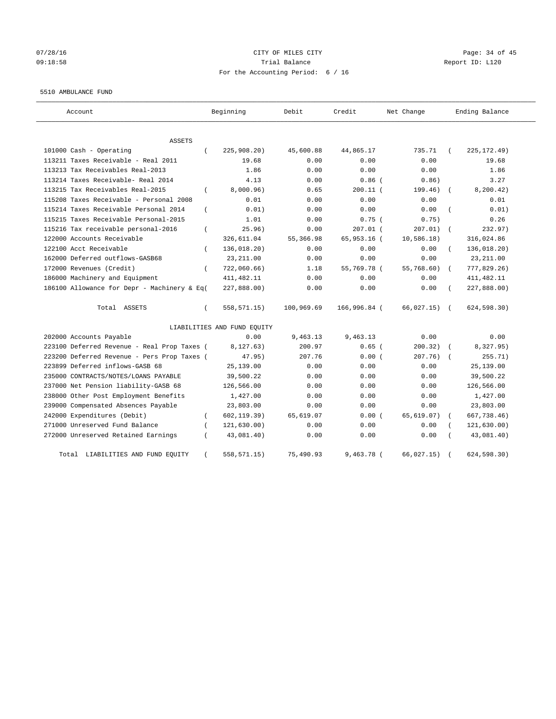# 07/28/16 Page: 34 of 45 09:18:58 Trial Balance Report ID: L120 For the Accounting Period: 6 / 16

#### 5510 AMBULANCE FUND

| Account                                     |          | Beginning                   | Debit      | Credit       | Net Change   | Ending Balance |
|---------------------------------------------|----------|-----------------------------|------------|--------------|--------------|----------------|
| <b>ASSETS</b>                               |          |                             |            |              |              |                |
| 101000 Cash - Operating                     | $\left($ | 225,908.20                  | 45,600.88  | 44,865.17    | 735.71       | 225, 172.49)   |
| 113211 Taxes Receivable - Real 2011         |          | 19.68                       | 0.00       | 0.00         | 0.00         | 19.68          |
| 113213 Tax Receivables Real-2013            |          | 1.86                        | 0.00       | 0.00         | 0.00         | 1.86           |
| 113214 Taxes Receivable- Real 2014          |          | 4.13                        | 0.00       | $0.86$ $($   | 0.86)        | 3.27           |
| 113215 Tax Receivables Real-2015            | $\left($ | 8,000.96)                   | 0.65       | $200.11$ (   | 199.46)      | 8, 200.42)     |
| 115208 Taxes Receivable - Personal 2008     |          | 0.01                        | 0.00       | 0.00         | 0.00         | 0.01           |
| 115214 Taxes Receivable Personal 2014       | $\left($ | 0.01)                       | 0.00       | 0.00         | 0.00         | 0.01)          |
| 115215 Taxes Receivable Personal-2015       |          | 1.01                        | 0.00       | $0.75$ (     | 0.75)        | 0.26           |
| 115216 Tax receivable personal-2016         | $\left($ | 25.96)                      | 0.00       | $207.01$ (   | 207.01)      | 232.97)        |
| 122000 Accounts Receivable                  |          | 326,611.04                  | 55,366.98  | 65,953.16 (  | 10,586.18)   | 316,024.86     |
| 122100 Acct Receivable                      |          | 136,018.20)                 | 0.00       | 0.00         | 0.00         | 136,018.20)    |
| 162000 Deferred outflows-GASB68             |          | 23, 211.00                  | 0.00       | 0.00         | 0.00         | 23, 211.00     |
| 172000 Revenues (Credit)                    | $\left($ | 722,060.66)                 | 1.18       | 55,769.78 (  | 55,768.60)   | 777,829.26)    |
| 186000 Machinery and Equipment              |          | 411, 482.11                 | 0.00       | 0.00         | 0.00         | 411, 482.11    |
| 186100 Allowance for Depr - Machinery & Eq( |          | 227,888.00)                 | 0.00       | 0.00         | 0.00         | 227,888.00)    |
| Total ASSETS                                | $\left($ | 558, 571.15)                | 100,969.69 | 166,996.84 ( | 66,027.15) ( | 624, 598.30)   |
|                                             |          | LIABILITIES AND FUND EQUITY |            |              |              |                |
| 202000 Accounts Payable                     |          | 0.00                        | 9,463.13   | 9,463.13     | 0.00         | 0.00           |
| 223100 Deferred Revenue - Real Prop Taxes ( |          | 8, 127.63)                  | 200.97     | $0.65$ (     | 200.32)      | 8,327.95)      |
| 223200 Deferred Revenue - Pers Prop Taxes ( |          | 47.95)                      | 207.76     | 0.00(        | 207.76)      | 255.71)        |
| 223899 Deferred inflows-GASB 68             |          | 25,139.00                   | 0.00       | 0.00         | 0.00         | 25,139.00      |
| 235000 CONTRACTS/NOTES/LOANS PAYABLE        |          | 39,500.22                   | 0.00       | 0.00         | 0.00         | 39,500.22      |
| 237000 Net Pension liability-GASB 68        |          | 126,566.00                  | 0.00       | 0.00         | 0.00         | 126,566.00     |
| 238000 Other Post Employment Benefits       |          | 1,427.00                    | 0.00       | 0.00         | 0.00         | 1,427.00       |
| 239000 Compensated Absences Payable         |          | 23,803.00                   | 0.00       | 0.00         | 0.00         | 23,803.00      |
| 242000 Expenditures (Debit)                 | $\left($ | 602, 119.39)                | 65,619.07  | 0.00(        | 65,619.07)   | 667,738.46)    |
| 271000 Unreserved Fund Balance              |          | 121, 630.00)                | 0.00       | 0.00         | 0.00         | 121,630.00)    |
| 272000 Unreserved Retained Earnings         |          | 43,081.40)                  | 0.00       | 0.00         | 0.00         | 43,081.40)     |
| Total LIABILITIES AND FUND EQUITY           | $\left($ | 558, 571.15)                | 75,490.93  | $9,463.78$ ( | 66,027.15)   | 624, 598.30)   |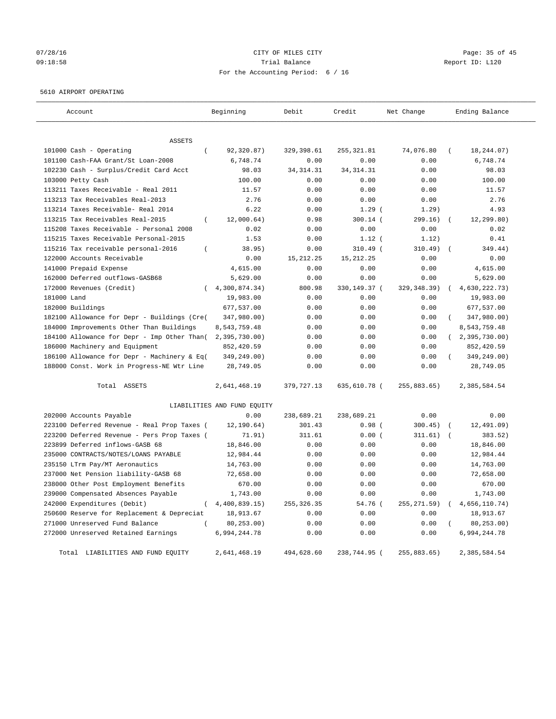# 07/28/16 Page: 35 of 45 09:18:58 Trial Balance Report ID: L120 For the Accounting Period: 6 / 16

#### 5610 AIRPORT OPERATING

| Account                                                                 | Beginning                   | Debit               | Credit              | Net Change   | Ending Balance            |
|-------------------------------------------------------------------------|-----------------------------|---------------------|---------------------|--------------|---------------------------|
|                                                                         |                             |                     |                     |              |                           |
| ASSETS                                                                  |                             |                     |                     |              | $\sqrt{2}$                |
| 101000 Cash - Operating<br>$\overline{ }$                               | 92,320.87)                  | 329,398.61          | 255, 321.81         | 74,076.80    | 18,244.07)                |
| 101100 Cash-FAA Grant/St Loan-2008                                      | 6,748.74                    | 0.00                | 0.00                | 0.00         | 6,748.74                  |
| 102230 Cash - Surplus/Credit Card Acct                                  | 98.03                       | 34, 314. 31<br>0.00 | 34, 314. 31<br>0.00 | 0.00<br>0.00 | 98.03<br>100.00           |
| 103000 Petty Cash                                                       | 100.00                      |                     |                     |              |                           |
| 113211 Taxes Receivable - Real 2011<br>113213 Tax Receivables Real-2013 | 11.57<br>2.76               | 0.00<br>0.00        | 0.00<br>0.00        | 0.00<br>0.00 | 11.57<br>2.76             |
|                                                                         |                             |                     |                     |              |                           |
| 113214 Taxes Receivable- Real 2014                                      | 6.22                        | 0.00                | 1.29(               | 1.29)        | 4.93                      |
| 113215 Tax Receivables Real-2015<br>$\overline{(\ }$                    | 12,000.64)                  | 0.98                | $300.14$ (<br>0.00  | 299.16)      | 12, 299.80)               |
| 115208 Taxes Receivable - Personal 2008                                 | 0.02                        | 0.00                |                     | 0.00         | 0.02                      |
| 115215 Taxes Receivable Personal-2015                                   | 1.53                        | 0.00                | $1.12$ (            | 1.12)        | 0.41                      |
| 115216 Tax receivable personal-2016<br>$\overline{(\ }$                 | 38.95)                      | 0.00                | 310.49 (            | 310.49)      | 349.44)                   |
| 122000 Accounts Receivable                                              | 0.00                        | 15, 212. 25         | 15, 212. 25         | 0.00         | 0.00                      |
| 141000 Prepaid Expense                                                  | 4,615.00                    | 0.00                | 0.00                | 0.00         | 4,615.00                  |
| 162000 Deferred outflows-GASB68                                         | 5,629.00                    | 0.00                | 0.00                | 0.00         | 5,629.00                  |
| 172000 Revenues (Credit)                                                | 4,300,874.34)               | 800.98              | 330,149.37 (        | 329, 348.39) | 4,630,222.73)             |
| 181000 Land                                                             | 19,983.00                   | 0.00                | 0.00                | 0.00         | 19,983.00                 |
| 182000 Buildings                                                        | 677,537.00                  | 0.00                | 0.00                | 0.00         | 677,537.00                |
| 182100 Allowance for Depr - Buildings (Cre(                             | 347,980.00)                 | 0.00                | 0.00                | 0.00         | $\left($<br>347,980.00)   |
| 184000 Improvements Other Than Buildings                                | 8,543,759.48                | 0.00                | 0.00                | 0.00         | 8,543,759.48              |
| 184100 Allowance for Depr - Imp Other Than(                             | 2,395,730.00)               | 0.00                | 0.00                | 0.00         | (2, 395, 730.00)          |
| 186000 Machinery and Equipment                                          | 852,420.59                  | 0.00                | 0.00                | 0.00         | 852,420.59                |
| 186100 Allowance for Depr - Machinery & Eq(                             | 349,249.00)                 | 0.00                | 0.00                | 0.00         | 349,249.00)               |
| 188000 Const. Work in Progress-NE Wtr Line                              | 28,749.05                   | 0.00                | 0.00                | 0.00         | 28,749.05                 |
| Total ASSETS                                                            | 2,641,468.19                | 379,727.13          | 635,610.78 (        | 255,883.65)  | 2,385,584.54              |
|                                                                         | LIABILITIES AND FUND EQUITY |                     |                     |              |                           |
| 202000 Accounts Payable                                                 | 0.00                        | 238,689.21          | 238,689.21          | 0.00         | 0.00                      |
| 223100 Deferred Revenue - Real Prop Taxes (                             | 12, 190.64)                 | 301.43              | 0.98(               | 300.45)      | 12, 491.09)               |
| 223200 Deferred Revenue - Pers Prop Taxes (                             | 71.91)                      | 311.61              | 0.00(               | 311.61)      | 383.52)                   |
| 223899 Deferred inflows-GASB 68                                         | 18,846.00                   | 0.00                | 0.00                | 0.00         | 18,846.00                 |
| 235000 CONTRACTS/NOTES/LOANS PAYABLE                                    | 12,984.44                   | 0.00                | 0.00                | 0.00         | 12,984.44                 |
| 235150 LTrm Pay/MT Aeronautics                                          | 14,763.00                   | 0.00                | 0.00                | 0.00         | 14,763.00                 |
| 237000 Net Pension liability-GASB 68                                    | 72,658.00                   | 0.00                | 0.00                | 0.00         | 72,658.00                 |
| 238000 Other Post Employment Benefits                                   | 670.00                      | 0.00                | 0.00                | 0.00         | 670.00                    |
| 239000 Compensated Absences Payable                                     | 1,743.00                    | 0.00                | 0.00                | 0.00         | 1,743.00                  |
| 242000 Expenditures (Debit)<br>$\left($                                 | 4,400,839.15)               | 255, 326.35         | 54.76 (             | 255, 271.59) | 4,656,110.74)<br>$\left($ |
| 250600 Reserve for Replacement & Depreciat                              | 18,913.67                   | 0.00                | 0.00                | 0.00         | 18,913.67                 |
| 271000 Unreserved Fund Balance                                          | 80,253.00)                  | 0.00                | 0.00                | 0.00         | 80, 253.00)               |
| 272000 Unreserved Retained Earnings                                     | 6,994,244.78                | 0.00                | 0.00                | 0.00         | 6,994,244.78              |
| Total LIABILITIES AND FUND EQUITY                                       | 2,641,468.19                | 494,628.60          | 238,744.95 (        | 255,883.65)  | 2,385,584.54              |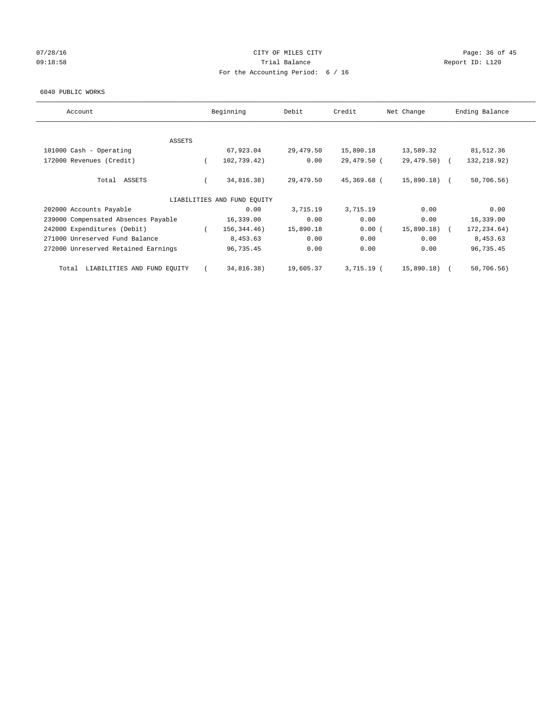# 07/28/16 Page: 36 of 45 09:18:58 Report ID: L120 For the Accounting Period: 6 / 16

#### 6040 PUBLIC WORKS

| Account                              |          | Beginning                   | Debit     | Credit      | Net Change    | Ending Balance |
|--------------------------------------|----------|-----------------------------|-----------|-------------|---------------|----------------|
| ASSETS                               |          |                             |           |             |               |                |
| 101000 Cash - Operating              |          | 67,923.04                   | 29,479.50 | 15,890.18   | 13,589.32     | 81,512.36      |
| 172000 Revenues (Credit)             | $\left($ | 102,739.42)                 | 0.00      | 29,479.50 ( | $29,479.50$ ( | 132, 218.92)   |
|                                      |          |                             |           |             |               |                |
| Total ASSETS                         |          | 34,816.38)                  | 29,479.50 | 45,369.68 ( | 15,890.18) (  | 50,706.56)     |
|                                      |          | LIABILITIES AND FUND EQUITY |           |             |               |                |
| 202000 Accounts Payable              |          | 0.00                        | 3,715.19  | 3,715.19    | 0.00          | 0.00           |
| 239000 Compensated Absences Payable  |          | 16,339.00                   | 0.00      | 0.00        | 0.00          | 16,339.00      |
| 242000 Expenditures (Debit)          |          | 156, 344. 46)               | 15,890.18 | 0.00(       | 15,890.18)    | 172, 234.64)   |
| 271000 Unreserved Fund Balance       |          | 8,453.63                    | 0.00      | 0.00        | 0.00          | 8,453.63       |
| 272000 Unreserved Retained Earnings  |          | 96,735.45                   | 0.00      | 0.00        | 0.00          | 96,735.45      |
| LIABILITIES AND FUND EQUITY<br>Total |          | 34,816.38)                  | 19,605.37 | 3,715.19 (  | 15,890.18)    | 50,706.56)     |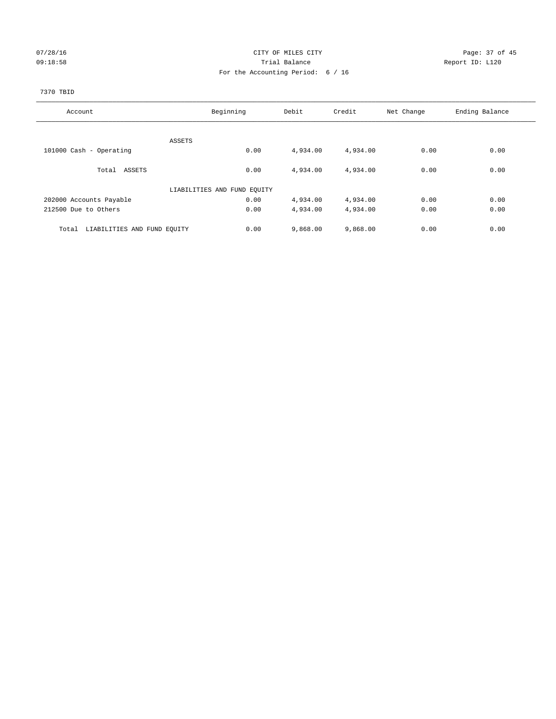# 07/28/16 Page: 37 of 45 09:18:58 Report ID: L120 For the Accounting Period: 6 / 16

## 7370 TBID

| Account                              | Beginning                   | Debit    | Credit   | Net Change | Ending Balance |
|--------------------------------------|-----------------------------|----------|----------|------------|----------------|
|                                      |                             |          |          |            |                |
|                                      | ASSETS                      |          |          |            |                |
| 101000 Cash - Operating              | 0.00                        | 4,934.00 | 4,934.00 | 0.00       | 0.00           |
| Total ASSETS                         | 0.00                        | 4,934.00 | 4,934.00 | 0.00       | 0.00           |
|                                      | LIABILITIES AND FUND EQUITY |          |          |            |                |
| 202000 Accounts Payable              | 0.00                        | 4,934.00 | 4,934.00 | 0.00       | 0.00           |
| 212500 Due to Others                 | 0.00                        | 4,934.00 | 4,934.00 | 0.00       | 0.00           |
| LIABILITIES AND FUND EQUITY<br>Total | 0.00                        | 9,868.00 | 9,868.00 | 0.00       | 0.00           |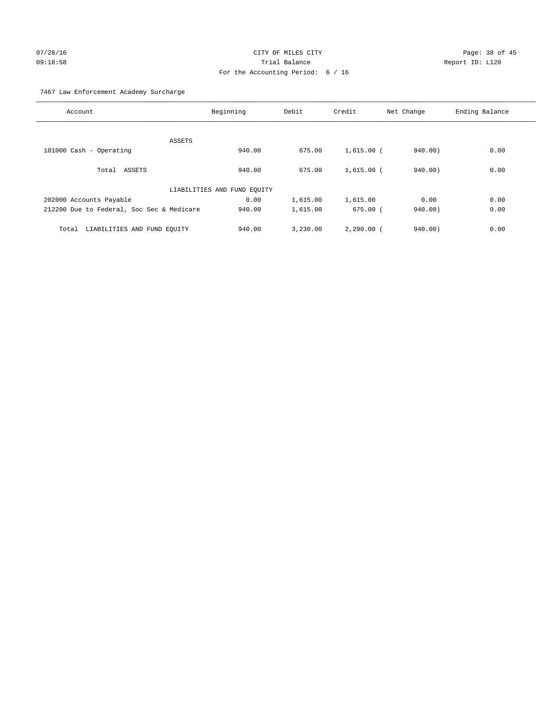# 07/28/16 Page: 38 of 45 09:18:58 Trial Balance Report ID: L120 For the Accounting Period: 6 / 16

7467 Law Enforcement Academy Surcharge

| Account                                   | Beginning                   | Debit    | Credit       | Net Change | Ending Balance |
|-------------------------------------------|-----------------------------|----------|--------------|------------|----------------|
|                                           |                             |          |              |            |                |
| ASSETS                                    |                             |          |              |            |                |
| 101000 Cash - Operating                   | 940.00                      | 675.00   | $1,615.00$ ( | 940.00     | 0.00           |
|                                           |                             |          |              |            |                |
| Total ASSETS                              | 940.00                      | 675.00   | $1,615.00$ ( | 940.00)    | 0.00           |
|                                           |                             |          |              |            |                |
|                                           | LIABILITIES AND FUND EQUITY |          |              |            |                |
| 202000 Accounts Payable                   | 0.00                        | 1,615.00 | 1,615.00     | 0.00       | 0.00           |
| 212200 Due to Federal, Soc Sec & Medicare | 940.00                      | 1,615.00 | $675.00$ (   | 940.00)    | 0.00           |
|                                           |                             |          |              |            |                |
| LIABILITIES AND FUND EQUITY<br>Total      | 940.00                      | 3,230.00 | $2,290,00$ ( | 940.00)    | 0.00           |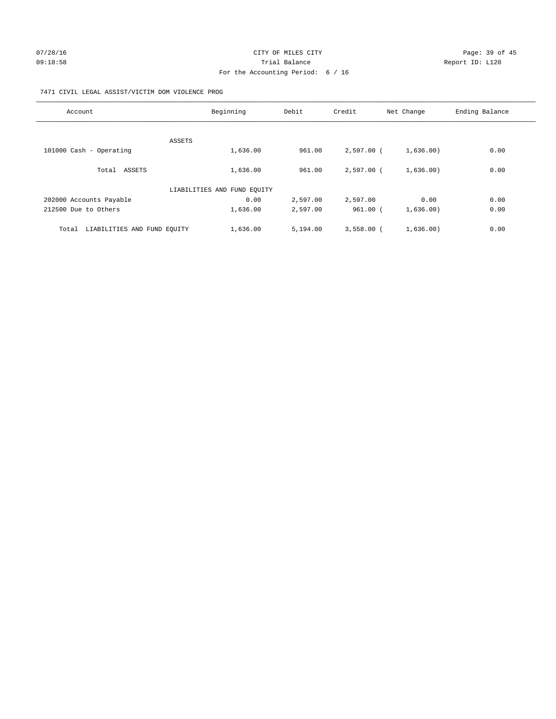# 07/28/16 Page: 39 of 45 09:18:58 Report ID: L120 For the Accounting Period: 6 / 16

## 7471 CIVIL LEGAL ASSIST/VICTIM DOM VIOLENCE PROG

| Account                              | Beginning                   | Debit    | Credit       | Net Change | Ending Balance |
|--------------------------------------|-----------------------------|----------|--------------|------------|----------------|
|                                      |                             |          |              |            |                |
|                                      | ASSETS                      |          |              |            |                |
| 101000 Cash - Operating              | 1,636.00                    | 961.00   | 2,597.00 (   | 1,636.00)  | 0.00           |
| Total ASSETS                         | 1,636.00                    | 961.00   | 2,597.00 (   | 1,636.00)  | 0.00           |
|                                      | LIABILITIES AND FUND EQUITY |          |              |            |                |
| 202000 Accounts Payable              | 0.00                        | 2,597.00 | 2,597.00     | 0.00       | 0.00           |
| 212500 Due to Others                 | 1,636.00                    | 2,597.00 | 961.00 (     | 1,636.00)  | 0.00           |
| LIABILITIES AND FUND EQUITY<br>Total | 1,636.00                    | 5,194.00 | $3,558.00$ ( | 1,636.00)  | 0.00           |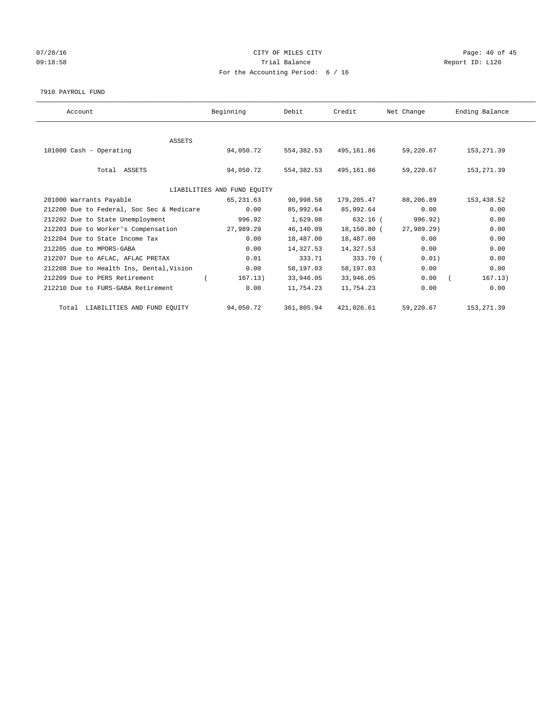# 07/28/16 Page: 40 of 45 09:18:58 Report ID: L120 For the Accounting Period: 6 / 16

#### 7910 PAYROLL FUND

| Account                                   | Beginning                   | Debit       | Credit      | Net Change | Ending Balance |
|-------------------------------------------|-----------------------------|-------------|-------------|------------|----------------|
|                                           |                             |             |             |            |                |
| ASSETS                                    |                             |             |             |            |                |
| 101000 Cash - Operating                   | 94,050.72                   | 554, 382.53 | 495,161.86  | 59,220.67  | 153,271.39     |
|                                           |                             |             |             |            |                |
| Total ASSETS                              | 94,050.72                   | 554,382.53  | 495,161.86  | 59,220.67  | 153, 271.39    |
|                                           |                             |             |             |            |                |
|                                           | LIABILITIES AND FUND EQUITY |             |             |            |                |
| 201000 Warrants Payable                   | 65,231.63                   | 90,998.58   | 179,205.47  | 88,206.89  | 153,438.52     |
| 212200 Due to Federal, Soc Sec & Medicare | 0.00                        | 85,992.64   | 85,992.64   | 0.00       | 0.00           |
| 212202 Due to State Unemployment          | 996.92                      | 1,629.08    | $632.16$ (  | 996.92)    | 0.00           |
| 212203 Due to Worker's Compensation       | 27,989.29                   | 46,140.09   | 18,150.80 ( | 27,989.29) | 0.00           |
| 212204 Due to State Income Tax            | 0.00                        | 18,487.00   | 18,487.00   | 0.00       | 0.00           |
| 212205 due to MPORS-GABA                  | 0.00                        | 14,327.53   | 14,327.53   | 0.00       | 0.00           |
| 212207 Due to AFLAC, AFLAC PRETAX         | 0.01                        | 333.71      | 333.70 (    | 0.01)      | 0.00           |
| 212208 Due to Health Ins, Dental, Vision  | 0.00                        | 58,197.03   | 58,197.03   | 0.00       | 0.00           |
| 212209 Due to PERS Retirement             | 167.13)                     | 33,946.05   | 33,946.05   | 0.00       | 167.13)        |
| 212210 Due to FURS-GABA Retirement        | 0.00                        | 11,754.23   | 11,754.23   | 0.00       | 0.00           |
| Total LIABILITIES AND FUND EQUITY         | 94,050.72                   | 361,805.94  | 421,026.61  | 59,220.67  | 153, 271.39    |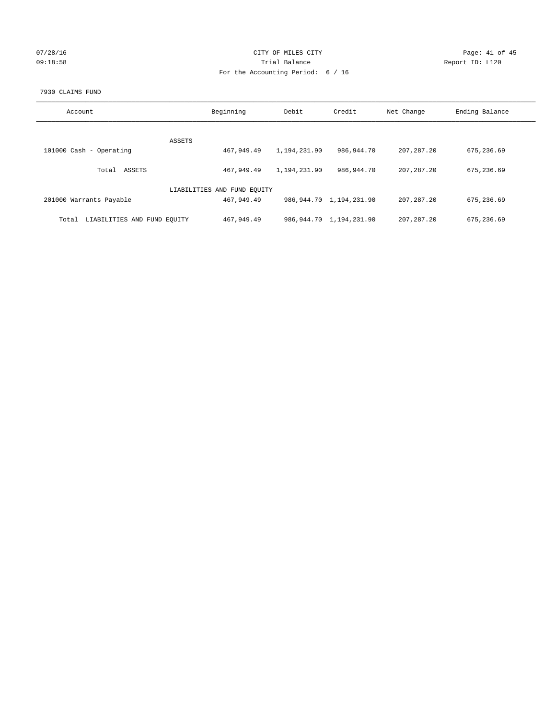| 07/28/16 |  |
|----------|--|
| 09:18:58 |  |

# CITY OF MILES CITY Page: 41 of 45<br>Trial Balance Report ID: L120 09:18:58 Report ID: L120 For the Accounting Period: 6 / 16

#### 7930 CLAIMS FUND

| Account                              | Beginning                   | Debit        | Credit                       | Net Change   | Ending Balance |
|--------------------------------------|-----------------------------|--------------|------------------------------|--------------|----------------|
| ASSETS                               |                             |              |                              |              |                |
| 101000 Cash - Operating              | 467,949.49                  | 1,194,231.90 | 986,944.70                   | 207, 287.20  | 675,236.69     |
| ASSETS<br>Total                      | 467,949.49                  | 1,194,231.90 | 986,944.70                   | 207, 287, 20 | 675,236.69     |
|                                      | LIABILITIES AND FUND EQUITY |              |                              |              |                |
| 201000 Warrants Payable              | 467,949.49                  |              | 986, 944. 70 1, 194, 231. 90 | 207, 287, 20 | 675,236.69     |
| LIABILITIES AND FUND EOUITY<br>Total | 467,949.49                  |              | 986, 944. 70 1, 194, 231. 90 | 207, 287, 20 | 675,236.69     |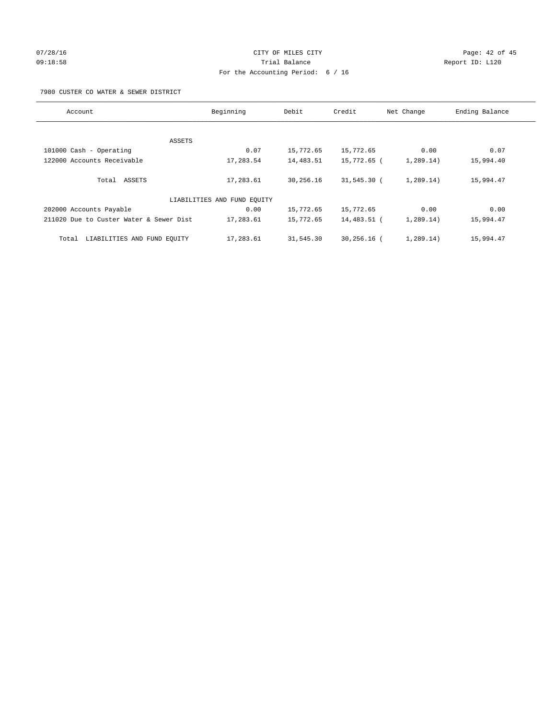# 07/28/16 Page: 42 of 45 09:18:58 Trial Balance Report ID: L120 For the Accounting Period: 6 / 16

7980 CUSTER CO WATER & SEWER DISTRICT

| Account                                 | Beginning                   | Debit     | Credit         | Net Change | Ending Balance |
|-----------------------------------------|-----------------------------|-----------|----------------|------------|----------------|
|                                         |                             |           |                |            |                |
| ASSETS                                  |                             |           |                |            |                |
| 101000 Cash - Operating                 | 0.07                        | 15,772.65 | 15,772.65      | 0.00       | 0.07           |
| 122000 Accounts Receivable              | 17,283.54                   | 14,483.51 | 15,772.65 (    | 1,289.14)  | 15,994.40      |
| Total ASSETS                            | 17,283.61                   | 30,256.16 | $31,545.30$ (  | 1,289.14)  | 15,994.47      |
|                                         | LIABILITIES AND FUND EQUITY |           |                |            |                |
| 202000 Accounts Payable                 | 0.00                        | 15,772.65 | 15,772.65      | 0.00       | 0.00           |
| 211020 Due to Custer Water & Sewer Dist | 17,283.61                   | 15,772.65 | 14,483.51 (    | 1,289.14)  | 15,994.47      |
| LIABILITIES AND FUND EQUITY<br>Total    | 17,283.61                   | 31,545.30 | $30, 256.16$ ( | 1, 289.14) | 15,994.47      |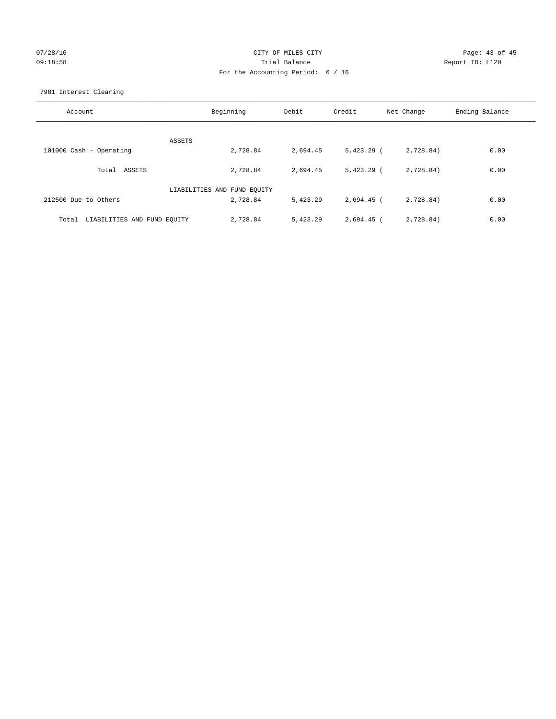# 07/28/16 Page: 43 of 45 09:18:58 Trial Balance Report ID: L120 For the Accounting Period: 6 / 16

7981 Interest Clearing

| Account                           | Beginning                   | Debit    | Credit       | Net Change | Ending Balance |
|-----------------------------------|-----------------------------|----------|--------------|------------|----------------|
|                                   | ASSETS                      |          |              |            |                |
| 101000 Cash - Operating           | 2,728.84                    | 2,694.45 | $5,423.29$ ( | 2,728.84)  | 0.00           |
| Total ASSETS                      | 2,728.84                    | 2,694.45 | $5,423.29$ ( | 2,728.84)  | 0.00           |
|                                   | LIABILITIES AND FUND EQUITY |          |              |            |                |
| 212500 Due to Others              | 2,728.84                    | 5,423.29 | 2,694.45 (   | 2,728.84)  | 0.00           |
| Total LIABILITIES AND FUND EOUITY | 2,728.84                    | 5,423.29 | 2,694.45 (   | 2,728.84)  | 0.00           |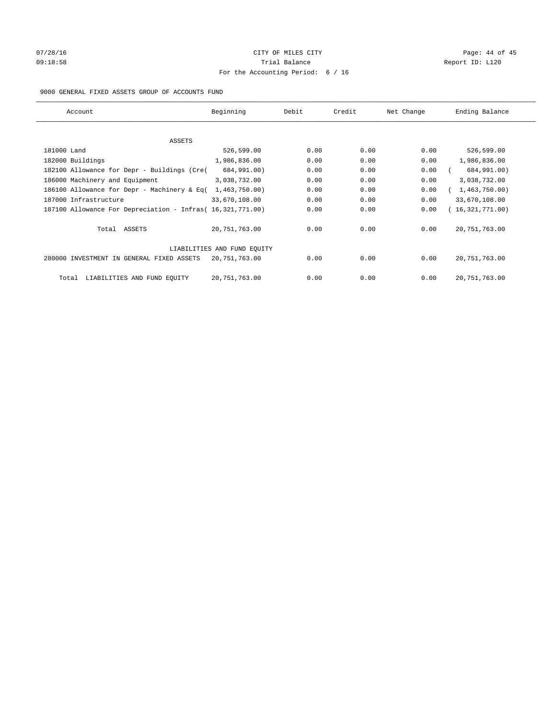# 07/28/16 Page: 44 of 45 09:18:58 Report ID: L120 For the Accounting Period: 6 / 16

## 9000 GENERAL FIXED ASSETS GROUP OF ACCOUNTS FUND

| Account                                                    | Beginning                   | Debit | Credit | Net Change | Ending Balance  |
|------------------------------------------------------------|-----------------------------|-------|--------|------------|-----------------|
| ASSETS                                                     |                             |       |        |            |                 |
| 181000 Land                                                | 526,599.00                  | 0.00  | 0.00   | 0.00       | 526,599.00      |
| 182000 Buildings                                           | 1,986,836.00                | 0.00  | 0.00   | 0.00       | 1,986,836.00    |
| 182100 Allowance for Depr - Buildings (Cre(                | 684,991.00)                 | 0.00  | 0.00   | 0.00       | 684,991.00)     |
| 186000 Machinery and Equipment                             | 3,038,732.00                | 0.00  | 0.00   | 0.00       | 3,038,732.00    |
| 186100 Allowance for Depr - Machinery & Eq(                | 1,463,750.00)               | 0.00  | 0.00   | 0.00       | 1,463,750.00)   |
| 187000 Infrastructure                                      | 33,670,108.00               | 0.00  | 0.00   | 0.00       | 33,670,108.00   |
| 187100 Allowance For Depreciation - Infras( 16,321,771.00) |                             | 0.00  | 0.00   | 0.00       | 16,321,771.00)  |
| Total ASSETS                                               | 20,751,763.00               | 0.00  | 0.00   | 0.00       | 20, 751, 763.00 |
|                                                            | LIABILITIES AND FUND EQUITY |       |        |            |                 |
| 280000 INVESTMENT IN GENERAL FIXED ASSETS                  | 20,751,763.00               | 0.00  | 0.00   | 0.00       | 20, 751, 763.00 |
| LIABILITIES AND FUND EQUITY<br>Total                       | 20, 751, 763.00             | 0.00  | 0.00   | 0.00       | 20, 751, 763.00 |